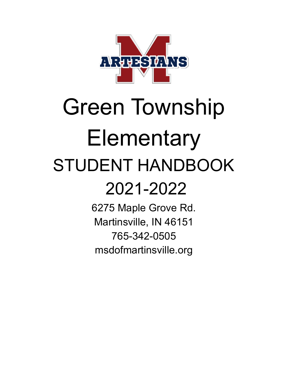

# Green Township Elementary STUDENT HANDBOOK 2021-2022

6275 Maple Grove Rd. Martinsville, IN 46151 765-342-0505 msdofmartinsville.org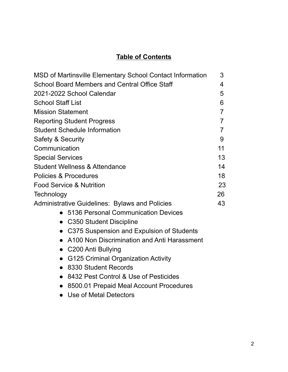## **Table of Contents**

| MSD of Martinsville Elementary School Contact Information |                |  |
|-----------------------------------------------------------|----------------|--|
| School Board Members and Central Office Staff             |                |  |
| 2021-2022 School Calendar                                 | 5              |  |
| <b>School Staff List</b>                                  | 6              |  |
| <b>Mission Statement</b>                                  | $\overline{7}$ |  |
| <b>Reporting Student Progress</b>                         | $\overline{7}$ |  |
| <b>Student Schedule Information</b>                       | $\overline{7}$ |  |
| Safety & Security                                         | 9              |  |
| Communication                                             | 11             |  |
| <b>Special Services</b>                                   | 13             |  |
| <b>Student Wellness &amp; Attendance</b>                  | 14             |  |
| Policies & Procedures                                     | 18             |  |
| <b>Food Service &amp; Nutrition</b>                       | 23             |  |
| Technology                                                | 26             |  |
| <b>Administrative Guidelines: Bylaws and Policies</b>     | 43             |  |
| 5136 Personal Communication Devices                       |                |  |
| C350 Student Discipline                                   |                |  |
| • C375 Suspension and Expulsion of Students               |                |  |
| A100 Non Discrimination and Anti Harassment               |                |  |
| • C200 Anti Bullying                                      |                |  |
| <b>G125 Criminal Organization Activity</b>                |                |  |
| 8330 Student Records                                      |                |  |
| 8432 Pest Control & Use of Pesticides                     |                |  |
| 8500.01 Prepaid Meal Account Procedures                   |                |  |

- 
- Use of Metal Detectors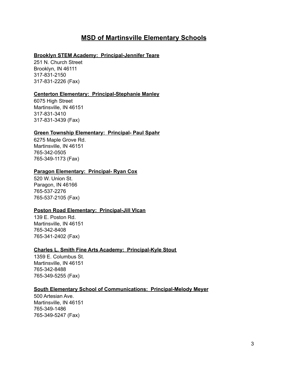#### **MSD of Martinsville Elementary Schools**

#### **Brooklyn STEM Academy: Principal-Jennifer Teare**

251 N. Church Street Brooklyn, IN 46111 317-831-2150 317-831-2226 (Fax)

#### **Centerton Elementary: Principal-Stephanie Manley**

6075 High Street Martinsville, IN 46151 317-831-3410 317-831-3439 (Fax)

#### **Green Township Elementary: Principal- Paul Spahr**

6275 Maple Grove Rd. Martinsville, IN 46151 765-342-0505 765-349-1173 (Fax)

#### **Paragon Elementary: Principal- Ryan Cox**

520 W. Union St. Paragon, IN 46166 765-537-2276 765-537-2105 (Fax)

#### **Poston Road Elementary: Principal-Jill Vlcan**

139 E. Poston Rd. Martinsville, IN 46151 765-342-8408 765-341-2402 (Fax)

#### **Charles L. Smith Fine Arts Academy: Principal-Kyle Stout**

1359 E. Columbus St. Martinsville, IN 46151 765-342-8488 765-349-5255 (Fax)

#### **South Elementary School of Communications: Principal-Melody Meyer**

500 Artesian Ave. Martinsville, IN 46151 765-349-1486 765-349-5247 (Fax)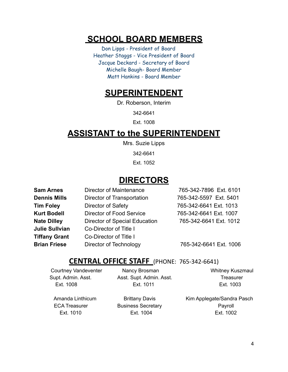## **SCHOOL BOARD MEMBERS**

Don Lipps - President of Board Heather Staggs - Vice President of Board Jacque Deckard - Secretary of Board Michelle Baugh- Board Member Matt Hankins - Board Member

## **SUPERINTENDENT**

Dr. Roberson, Interim

342-6641

Ext. 1008

## **ASSISTANT to the SUPERINTENDENT**

Mrs. Suzie Lipps

342-6641

Ext. 1052

## **DIRECTORS**

| <b>Sam Arnes</b>      | <b>Director of Maintenance</b>       | 765-342-7896 Ext. 6101 |
|-----------------------|--------------------------------------|------------------------|
| <b>Dennis Mills</b>   | Director of Transportation           | 765-342-5597 Ext. 5401 |
| <b>Tim Foley</b>      | Director of Safety                   | 765-342-6641 Ext. 1013 |
| <b>Kurt Bodell</b>    | Director of Food Service             | 765-342-6641 Ext. 1007 |
| <b>Nate Dilley</b>    | <b>Director of Special Education</b> | 765-342-6641 Ext. 1012 |
| <b>Julie Sullvian</b> | Co-Director of Title I               |                        |
| <b>Tiffany Grant</b>  | Co-Director of Title I               |                        |
| <b>Brian Friese</b>   | Director of Technology               | 765-342-6641 Ext. 1006 |

#### **CENTRAL OFFICE STAFF** (PHONE: 765-342-6641)

Courtney Vandeventer Mancy Brosman Nancy Brosman Whitney Kuszmaul Supt. Admin. Asst. Asst. Supt. Admin. Asst. Treasurer Ext. 1008 Ext. 1011 Ext. 1003

Amanda Linthicum **Brittany Davis** Kim Applegate/Sandra Pasch ECA Treasurer **Business Secretary Community COV** Payroll Ext. 1010 Ext. 1004 Ext. 1002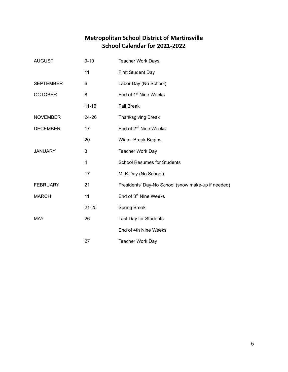#### **Metropolitan School District of Martinsville School Calendar for 2021-2022**

| <b>AUGUST</b>    | $9 - 10$  | <b>Teacher Work Days</b>                           |  |
|------------------|-----------|----------------------------------------------------|--|
|                  | 11        | First Student Day                                  |  |
| <b>SEPTEMBER</b> | 6         | Labor Day (No School)                              |  |
| <b>OCTOBER</b>   | 8         | End of 1 <sup>st</sup> Nine Weeks                  |  |
|                  | $11 - 15$ | <b>Fall Break</b>                                  |  |
| <b>NOVEMBER</b>  | 24-26     | <b>Thanksgiving Break</b>                          |  |
| <b>DECEMBER</b>  | 17        | End of 2 <sup>nd</sup> Nine Weeks                  |  |
|                  | 20        | <b>Winter Break Begins</b>                         |  |
| <b>JANUARY</b>   | 3         | Teacher Work Day                                   |  |
|                  | 4         | <b>School Resumes for Students</b>                 |  |
|                  | 17        | MLK Day (No School)                                |  |
| <b>FEBRUARY</b>  | 21        | Presidents' Day-No School (snow make-up if needed) |  |
| <b>MARCH</b>     | 11        | End of 3rd Nine Weeks                              |  |
|                  | $21 - 25$ | <b>Spring Break</b>                                |  |
| <b>MAY</b>       | 26        | Last Day for Students                              |  |
|                  |           | End of 4th Nine Weeks                              |  |
|                  | 27        | <b>Teacher Work Day</b>                            |  |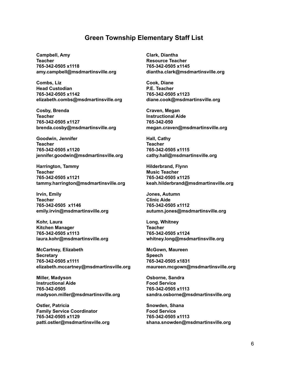#### **Green Township Elementary Staff List**

**Campbell, Amy Teacher 765-342-0505 x1118 amy.campbell@msdmartinsville.org**

**Combs, Liz Head Custodian 765-342-0505 x1142 elizabeth.combs@msdmartinsville.org**

**Cosby, Brenda Teacher 765-342-0505 x1127 brenda.cosby@msdmartinsville.org**

**Goodwin, Jennifer Teacher 765-342-0505 x1120 jennifer.goodwin@msdmartinsville.org**

**Harrington, Tammy Teacher 765-342-0505 x1121 tammy.harrington@msdmartinsville.org**

**Irvin, Emily Teacher 765-342-0505 x1146 emily.irvin@msdmartinsville.org**

**Kohr, Laura Kitchen Manager 765-342-0505 x1113 laura.kohr@msdmartinsville.org**

**McCartney, Elizabeth Secretary 765-342-0505 x1111 elizabeth.mccartney@msdmartinsville.org**

**Miller, Madyson Instructional Aide 765-342-0505 madyson.miller@msdmartinsville.org**

**Ostler, Patricia Family Service Coordinator 765-342-0505 x1129 patti.ostler@msdmartinsville.org** **Clark, Diantha Resource Teacher 765-342-0505 x1145 diantha.clark@msdmartinsville.org**

**Cook, Diane P.E. Teacher 765-342-0505 x1123 diane.cook@msdmartinsville.org**

**Craven, Megan Instructional Aide 765-342-050 megan.craven@msdmartinsville.org**

**Hall, Cathy Teacher 765-342-0505 x1115 cathy.hall@msdmartinsville.org**

**Hilderbrand, Flynn Music Teacher 765-342-0505 x1125 keah.hilderbrand@msdmartinsville.org**

**Jones, Autumn Clinic Aide 765-342-0505 x1112 autumn.jones@msdmartinsville.org**

**Long, Whitney Teacher 765-342-0505 x1124 whitney.long@msdmartinsville.org**

**McGown, Maureen Speech 765-342-0505 x1831 maureen.mcgown@msdmartinsville.org**

**Osborne, Sandra Food Service 765-342-0505 x1113 sandra.osborne@msdmartinsville.org**

**Snowden, Shana Food Service 765-342-0505 x1113 shana.snowden@msdmartinsville.org**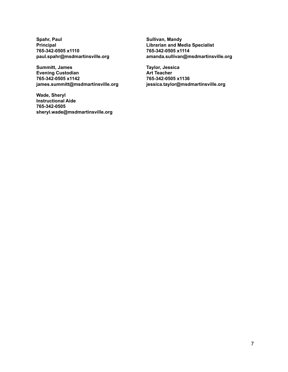**Spahr, Paul Principal 765-342-0505 x1110 paul.spahr@msdmartinsville.org**

**Summitt, James Evening Custodian 765-342-0505 x1142 james.summitt@msdmartinsville.org**

**Wade, Sheryl Instructional Aide 765-342-0505 sheryl.wade@msdmartinsville.org** **Sullivan, Mandy Librarian and Media Specialist 765-342-0505 x1114 amanda.sullivan@msdmartinsville.org**

**Taylor, Jessica Art Teacher 765-342-0505 x1136 jessica.taylor@msdmartinsville.org**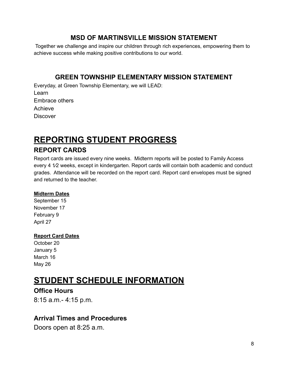#### **MSD OF MARTINSVILLE MISSION STATEMENT**

Together we challenge and inspire our children through rich experiences, empowering them to achieve success while making positive contributions to our world.

#### **GREEN TOWNSHIP ELEMENTARY MISSION STATEMENT**

Everyday, at Green Township Elementary, we will LEAD: Learn Embrace others Achieve **Discover** 

## **REPORTING STUDENT PROGRESS**

#### **REPORT CARDS**

Report cards are issued every nine weeks. Midterm reports will be posted to Family Access every 4  $1/2$  weeks, except in kindergarten. Report cards will contain both academic and conduct grades. Attendance will be recorded on the report card. Report card envelopes must be signed and returned to the teacher.

#### **Midterm Dates**

September 15 November 17 February 9 April 27

#### **Report Card Dates**

October 20 January 5 March 16 May 26

## **STUDENT SCHEDULE INFORMATION**

#### **Office Hours**

8:15 a.m.- 4:15 p.m.

#### **Arrival Times and Procedures**

Doors open at 8:25 a.m.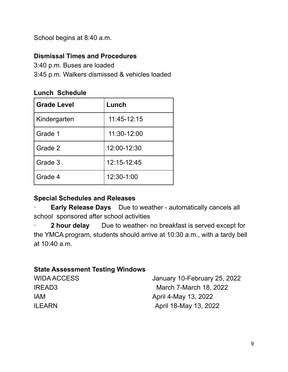School begins at 8:40 a.m.

#### **Dismissal Times and Procedures**

3:40 p.m. Buses are loaded

3:45 p.m. Walkers dismissed & vehicles loaded

#### **Lunch Schedule**

| <b>Grade Level</b> | Lunch       |
|--------------------|-------------|
| Kindergarten       | 11:45-12:15 |
| Grade 1            | 11:30-12:00 |
| Grade 2            | 12:00-12:30 |
| Grade 3            | 12:15-12:45 |
| Grade 4            | 12:30-1:00  |

#### **Special Schedules and Releases**

· **Early Release Days** Due to weather - automatically cancels all school sponsored after school activities

· **2 hour delay** Due to weather- no breakfast is served except for the YMCA program, students should arrive at 10:30 a.m., with a tardy bell at 10:40 a.m.

#### **State Assessment Testing Windows**

| <b>WIDA ACCESS</b> | January 10-February 25, 2022 |
|--------------------|------------------------------|
| IREAD3             | March 7-March 18, 2022       |
| <b>IAM</b>         | April 4-May 13, 2022         |
| <b>ILEARN</b>      | April 18-May 13, 2022        |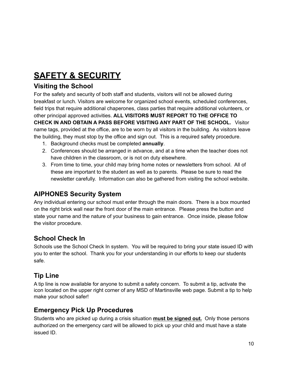## **SAFETY & SECURITY**

#### **Visiting the School**

For the safety and security of both staff and students, visitors will not be allowed during breakfast or lunch. Visitors are welcome for organized school events, scheduled conferences, field trips that require additional chaperones, class parties that require additional volunteers, or other principal approved activities. **ALL VISITORS MUST REPORT TO THE OFFICE TO CHECK IN AND OBTAIN A PASS BEFORE VISITING ANY PART OF THE SCHOOL.** Visitor name tags, provided at the office, are to be worn by all visitors in the building. As visitors leave the building, they must stop by the office and sign out. This is a required safety procedure.

- 1. Background checks must be completed **annually**.
- 2. Conferences should be arranged in advance, and at a time when the teacher does not have children in the classroom, or is not on duty elsewhere.
- 3. From time to time, your child may bring home notes or newsletters from school. All of these are important to the student as well as to parents. Please be sure to read the newsletter carefully. Information can also be gathered from visiting the school website.

#### **AIPHONES Security System**

Any individual entering our school must enter through the main doors. There is a box mounted on the right brick wall near the front door of the main entrance. Please press the button and state your name and the nature of your business to gain entrance. Once inside, please follow the visitor procedure.

#### **School Check In**

Schools use the School Check In system. You will be required to bring your state issued ID with you to enter the school. Thank you for your understanding in our efforts to keep our students safe.

#### **Tip Line**

A tip line is now available for anyone to submit a safety concern. To submit a tip, activate the icon located on the upper right corner of any MSD of Martinsville web page. Submit a tip to help make your school safer!

#### **Emergency Pick Up Procedures**

Students who are picked up during a crisis situation **must be signed out.** Only those persons authorized on the emergency card will be allowed to pick up your child and must have a state issued ID.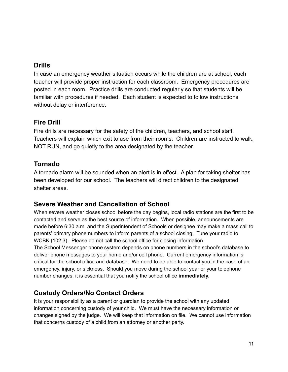#### **Drills**

In case an emergency weather situation occurs while the children are at school, each teacher will provide proper instruction for each classroom. Emergency procedures are posted in each room. Practice drills are conducted regularly so that students will be familiar with procedures if needed. Each student is expected to follow instructions without delay or interference.

#### **Fire Drill**

Fire drills are necessary for the safety of the children, teachers, and school staff. Teachers will explain which exit to use from their rooms. Children are instructed to walk, NOT RUN, and go quietly to the area designated by the teacher.

#### **Tornado**

A tornado alarm will be sounded when an alert is in effect. A plan for taking shelter has been developed for our school. The teachers will direct children to the designated shelter areas.

#### **Severe Weather and Cancellation of School**

When severe weather closes school before the day begins, local radio stations are the first to be contacted and serve as the best source of information. When possible, announcements are made before 6:30 a.m. and the Superintendent of Schools or designee may make a mass call to parents' primary phone numbers to inform parents of a school closing. Tune your radio to WCBK (102.3). Please do not call the school office for closing information.

The School Messenger phone system depends on phone numbers in the school's database to deliver phone messages to your home and/or cell phone. Current emergency information is critical for the school office and database. We need to be able to contact you in the case of an emergency, injury, or sickness. Should you move during the school year or your telephone number changes, it is essential that you notify the school office **immediately.**

#### **Custody Orders/No Contact Orders**

It is your responsibility as a parent or guardian to provide the school with any updated information concerning custody of your child. We must have the necessary information or changes signed by the judge. We will keep that information on file. We cannot use information that concerns custody of a child from an attorney or another party.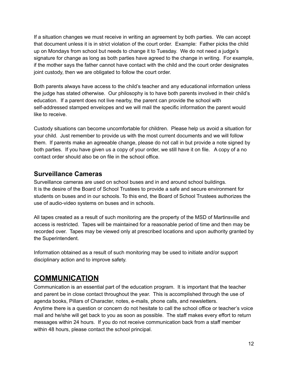If a situation changes we must receive in writing an agreement by both parties. We can accept that document unless it is in strict violation of the court order. Example: Father picks the child up on Mondays from school but needs to change it to Tuesday. We do not need a judge's signature for change as long as both parties have agreed to the change in writing. For example, if the mother says the father cannot have contact with the child and the court order designates joint custody, then we are obligated to follow the court order.

Both parents always have access to the child's teacher and any educational information unless the judge has stated otherwise. Our philosophy is to have both parents involved in their child's education. If a parent does not live nearby, the parent can provide the school with self-addressed stamped envelopes and we will mail the specific information the parent would like to receive.

Custody situations can become uncomfortable for children. Please help us avoid a situation for your child. Just remember to provide us with the most current documents and we will follow them. If parents make an agreeable change, please do not call in but provide a note signed by both parties. If you have given us a copy of your order, we still have it on file. A copy of a no contact order should also be on file in the school office.

#### **Surveillance Cameras**

Surveillance cameras are used on school buses and in and around school buildings. It is the desire of the Board of School Trustees to provide a safe and secure environment for students on buses and in our schools. To this end, the Board of School Trustees authorizes the use of audio-video systems on buses and in schools.

All tapes created as a result of such monitoring are the property of the MSD of Martinsville and access is restricted. Tapes will be maintained for a reasonable period of time and then may be recorded over. Tapes may be viewed only at prescribed locations and upon authority granted by the Superintendent.

Information obtained as a result of such monitoring may be used to initiate and/or support disciplinary action and to improve safety.

## **COMMUNICATION**

Communication is an essential part of the education program. It is important that the teacher and parent be in close contact throughout the year. This is accomplished through the use of agenda books, Pillars of Character, notes, e-mails, phone calls, and newsletters. Anytime there is a question or concern do not hesitate to call the school office or teacher's voice mail and he/she will get back to you as soon as possible. The staff makes every effort to return messages within 24 hours. If you do not receive communication back from a staff member within 48 hours, please contact the school principal.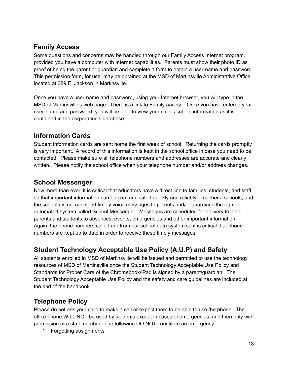#### **Family Access**

Some questions and concerns may be handled through our Family Access Internet program, provided you have a computer with Internet capabilities. Parents must show their photo ID as proof of being the parent or guardian and complete a form to obtain a user-name and password. This permission form, for use, may be obtained at the MSD of Martinsville Administrative Office located at 389 E. Jackson in Martinsville.

Once you have a user-name and password, using your Internet browser, you will type in the MSD of Martinsville's web page. There is a link to Family Access. Once you have entered your user-name and password, you will be able to view your child's school information as it is contained in the corporation's database.

#### **Information Cards**

Student information cards are sent home the first week of school. Returning the cards promptly is very important. A record of this information is kept in the school office in case you need to be contacted. Please make sure all telephone numbers and addresses are accurate and clearly written. Please notify the school office when your telephone number and/or address changes.

#### **School Messenger**

Now more than ever, it is critical that educators have a direct line to families, students, and staff, so that important information can be communicated quickly and reliably. Teachers, schools, and the school district can send timely voice messages to parents and/or guardians through an automated system called School Messenger. Messages are scheduled for delivery to alert parents and students to absences, events, emergencies and other important information. Again, the phone numbers called are from our school data system so it is critical that phone numbers are kept up to date in order to receive these timely messages.

#### **Student Technology Acceptable Use Policy (A.U.P) and Safety**

All students enrolled in MSD of Martinsville will be issued and permitted to use the technology resources of MSD of Martinsville once the Student Technology Acceptable Use Policy and Standards for Proper Care of the Chromebook/iPad is signed by a parent/guardian. The Student Technology Acceptable Use Policy and the safety and care guidelines are included at the end of the handbook.

#### **Telephone Policy**

Please do not ask your child to make a call or expect them to be able to use the phone. The office phone WILL NOT be used by students except in cases of emergencies, and then only with permission of a staff member. The following DO NOT constitute an emergency:

1. Forgetting assignments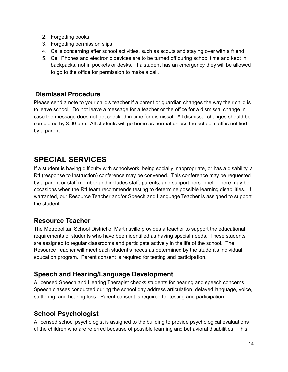- 2. Forgetting books
- 3. Forgetting permission slips
- 4. Calls concerning after school activities, such as scouts and staying over with a friend
- 5. Cell Phones and electronic devices are to be turned off during school time and kept in backpacks, not in pockets or desks. If a student has an emergency they will be allowed to go to the office for permission to make a call.

#### **Dismissal Procedure**

Please send a note to your child's teacher if a parent or guardian changes the way their child is to leave school. Do not leave a message for a teacher or the office for a dismissal change in case the message does not get checked in time for dismissal. All dismissal changes should be completed by 3:00 p.m. All students will go home as normal unless the school staff is notified by a parent.

## **SPECIAL SERVICES**

If a student is having difficulty with schoolwork, being socially inappropriate, or has a disability, a RtI (response to Instruction) conference may be convened. This conference may be requested by a parent or staff member and includes staff, parents, and support personnel. There may be occasions when the RtI team recommends testing to determine possible learning disabilities. If warranted, our Resource Teacher and/or Speech and Language Teacher is assigned to support the student.

#### **Resource Teacher**

The Metropolitan School District of Martinsville provides a teacher to support the educational requirements of students who have been identified as having special needs. These students are assigned to regular classrooms and participate actively in the life of the school. The Resource Teacher will meet each student's needs as determined by the student's individual education program. Parent consent is required for testing and participation.

#### **Speech and Hearing/Language Development**

A licensed Speech and Hearing Therapist checks students for hearing and speech concerns. Speech classes conducted during the school day address articulation, delayed language, voice, stuttering, and hearing loss. Parent consent is required for testing and participation.

#### **School Psychologist**

A licensed school psychologist is assigned to the building to provide psychological evaluations of the children who are referred because of possible learning and behavioral disabilities. This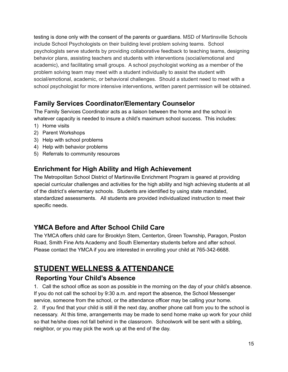testing is done only with the consent of the parents or guardians. MSD of Martinsville Schools include School Psychologists on their building level problem solving teams. School psychologists serve students by providing collaborative feedback to teaching teams, designing behavior plans, assisting teachers and students with interventions (social/emotional and academic), and facilitating small groups. A school psychologist working as a member of the problem solving team may meet with a student individually to assist the student with social/emotional, academic, or behavioral challenges. Should a student need to meet with a school psychologist for more intensive interventions, written parent permission will be obtained.

#### **Family Services Coordinator/Elementary Counselor**

The Family Services Coordinator acts as a liaison between the home and the school in whatever capacity is needed to insure a child's maximum school success. This includes:

- 1) Home visits
- 2) Parent Workshops
- 3) Help with school problems
- 4) Help with behavior problems
- 5) Referrals to community resources

#### **Enrichment for High Ability and High Achievement**

The Metropolitan School District of Martinsville Enrichment Program is geared at providing special curricular challenges and activities for the high ability and high achieving students at all of the district's elementary schools. Students are identified by using state mandated, standardized assessments. All students are provided individualized instruction to meet their specific needs.

#### **YMCA Before and After School Child Care**

The YMCA offers child care for Brooklyn Stem, Centerton, Green Township, Paragon, Poston Road, Smith Fine Arts Academy and South Elementary students before and after school. Please contact the YMCA if you are interested in enrolling your child at 765-342-6688.

## **STUDENT WELLNESS & ATTENDANCE**

#### **Reporting Your Child's Absence**

1. Call the school office as soon as possible in the morning on the day of your child's absence. If you do not call the school by 9:30 a.m. and report the absence, the School Messenger service, someone from the school, or the attendance officer may be calling your home.

2. If you find that your child is still ill the next day, another phone call from you to the school is necessary. At this time, arrangements may be made to send home make up work for your child so that he/she does not fall behind in the classroom. Schoolwork will be sent with a sibling, neighbor, or you may pick the work up at the end of the day.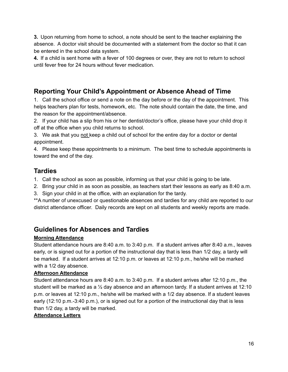**3.** Upon returning from home to school, a note should be sent to the teacher explaining the absence. A doctor visit should be documented with a statement from the doctor so that it can be entered in the school data system.

**4.** If a child is sent home with a fever of 100 degrees or over, they are not to return to school until fever free for 24 hours without fever medication.

#### **Reporting Your Child's Appointment or Absence Ahead of Time**

1. Call the school office or send a note on the day before or the day of the appointment. This helps teachers plan for tests, homework, etc. The note should contain the date, the time, and the reason for the appointment/absence.

2. If your child has a slip from his or her dentist/doctor's office, please have your child drop it off at the office when you child returns to school.

3. We ask that you not keep a child out of school for the entire day for a doctor or dental appointment.

4. Please keep these appointments to a minimum. The best time to schedule appointments is toward the end of the day.

#### **Tardies**

1. Call the school as soon as possible, informing us that your child is going to be late.

- 2. Bring your child in as soon as possible, as teachers start their lessons as early as 8:40 a.m.
- 3. Sign your child in at the office, with an explanation for the tardy.

\*\*A number of unexcused or questionable absences and tardies for any child are reported to our district attendance officer. Daily records are kept on all students and weekly reports are made.

#### **Guidelines for Absences and Tardies**

#### **Morning Attendance**

Student attendance hours are 8:40 a.m. to 3:40 p.m. If a student arrives after 8:40 a.m., leaves early, or is signed out for a portion of the instructional day that is less than 1/2 day, a tardy will be marked. If a student arrives at 12:10 p.m. or leaves at 12:10 p.m., he/she will be marked with a 1/2 day absence.

#### **Afternoon Attendance**

Student attendance hours are 8:40 a.m. to 3:40 p.m. If a student arrives after 12:10 p.m., the student will be marked as a ½ day absence and an afternoon tardy. If a student arrives at 12:10 p.m. or leaves at 12:10 p.m., he/she will be marked with a 1/2 day absence. If a student leaves early (12:10 p.m.-3:40 p.m.), or is signed out for a portion of the instructional day that is less than 1/2 day, a tardy will be marked.

#### **Attendance Letters**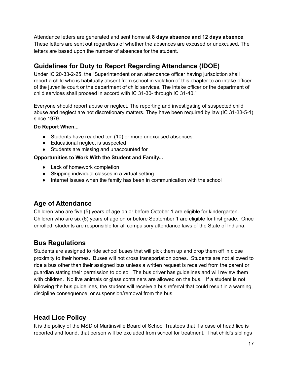Attendance letters are generated and sent home at **8 days absence and 12 days absence**. These letters are sent out regardless of whether the absences are excused or unexcused. The letters are based upon the number of absences for the student.

#### **Guidelines for Duty to Report Regarding Attendance (IDOE)**

Under IC 20-33-2-25, the "Superintendent or an attendance officer having jurisdiction shall report a child who is habitually absent from school in violation of this chapter to an intake officer of the juvenile court or the department of child services. The intake officer or the department of child services shall proceed in accord with IC 31-30- through IC 31-40."

Everyone should report abuse or neglect. The reporting and investigating of suspected child abuse and neglect are not discretionary matters. They have been required by law (IC 31-33-5-1) since 1979.

#### **Do Report When...**

- Students have reached ten (10) or more unexcused absences.
- Educational neglect is suspected
- Students are missing and unaccounted for

#### **Opportunities to Work With the Student and Family...**

- Lack of homework completion
- Skipping individual classes in a virtual setting
- Internet issues when the family has been in communication with the school

#### **Age of Attendance**

Children who are five (5) years of age on or before October 1 are eligible for kindergarten. Children who are six (6) years of age on or before September 1 are eligible for first grade. Once enrolled, students are responsible for all compulsory attendance laws of the State of Indiana.

#### **Bus Regulations**

Students are assigned to ride school buses that will pick them up and drop them off in close proximity to their homes. Buses will not cross transportation zones. Students are not allowed to ride a bus other than their assigned bus unless a written request is received from the parent or guardian stating their permission to do so. The bus driver has guidelines and will review them with children. No live animals or glass containers are allowed on the bus. If a student is not following the bus guidelines, the student will receive a bus referral that could result in a warning, discipline consequence, or suspension/removal from the bus.

#### **Head Lice Policy**

It is the policy of the MSD of Martinsville Board of School Trustees that if a case of head lice is reported and found, that person will be excluded from school for treatment. That child's siblings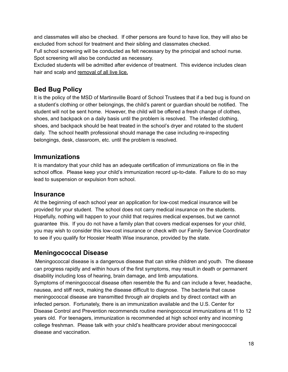and classmates will also be checked. If other persons are found to have lice, they will also be excluded from school for treatment and their sibling and classmates checked.

Full school screening will be conducted as felt necessary by the principal and school nurse. Spot screening will also be conducted as necessary.

Excluded students will be admitted after evidence of treatment. This evidence includes clean hair and scalp and removal of all live lice.

#### **Bed Bug Policy**

It is the policy of the MSD of Martinsville Board of School Trustees that if a bed bug is found on a student's clothing or other belongings, the child's parent or guardian should be notified. The student will not be sent home. However, the child will be offered a fresh change of clothes, shoes, and backpack on a daily basis until the problem is resolved. The infested clothing, shoes, and backpack should be heat treated in the school's dryer and rotated to the student daily. The school health professional should manage the case including re-inspecting belongings, desk, classroom, etc. until the problem is resolved.

#### **Immunizations**

It is mandatory that your child has an adequate certification of immunizations on file in the school office. Please keep your child's immunization record up-to-date. Failure to do so may lead to suspension or expulsion from school.

#### **Insurance**

At the beginning of each school year an application for low-cost medical insurance will be provided for your student. The school does not carry medical insurance on the students. Hopefully, nothing will happen to your child that requires medical expenses, but we cannot guarantee this. If you do not have a family plan that covers medical expenses for your child, you may wish to consider this low-cost insurance or check with our Family Service Coordinator to see if you qualify for Hoosier Health Wise insurance, provided by the state.

#### **Meningococcal Disease**

Meningococcal disease is a dangerous disease that can strike children and youth. The disease can progress rapidly and within hours of the first symptoms, may result in death or permanent disability including loss of hearing, brain damage, and limb amputations. Symptoms of meningococcal disease often resemble the flu and can include a fever, headache, nausea, and stiff neck, making the disease difficult to diagnose. The bacteria that cause meningococcal disease are transmitted through air droplets and by direct contact with an infected person. Fortunately, there is an immunization available and the U.S. Center for Disease Control and Prevention recommends routine meningococcal immunizations at 11 to 12 years old. For teenagers, immunization is recommended at high school entry and incoming college freshman. Please talk with your child's healthcare provider about meningococcal disease and vaccination.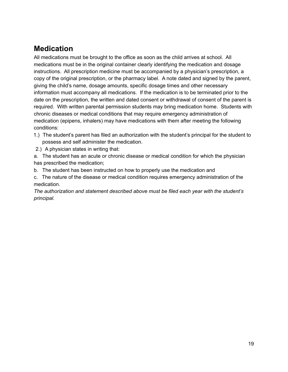## **Medication**

All medications must be brought to the office as soon as the child arrives at school. All medications must be in the original container clearly identifying the medication and dosage instructions. All prescription medicine must be accompanied by a physician's prescription, a copy of the original prescription, or the pharmacy label. A note dated and signed by the parent, giving the child's name, dosage amounts, specific dosage times and other necessary information must accompany all medications. If the medication is to be terminated prior to the date on the prescription, the written and dated consent or withdrawal of consent of the parent is required. With written parental permission students may bring medication home. Students with chronic diseases or medical conditions that may require emergency administration of medication (epipens, inhalers) may have medications with them after meeting the following conditions:

- 1.) The student's parent has filed an authorization with the student's principal for the student to possess and self administer the medication.
- 2.) A physician states in writing that:
- a. The student has an acute or chronic disease or medical condition for which the physician has prescribed the medication;
- b. The student has been instructed on how to properly use the medication and
- c. The nature of the disease or medical condition requires emergency administration of the medication.

*The authorization and statement described above must be filed each year with the student's principal*.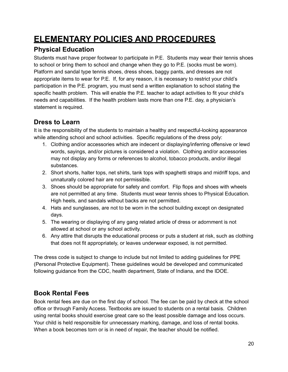## **ELEMENTARY POLICIES AND PROCEDURES**

#### **Physical Education**

Students must have proper footwear to participate in P.E. Students may wear their tennis shoes to school or bring them to school and change when they go to P.E. (socks must be worn). Platform and sandal type tennis shoes, dress shoes, baggy pants, and dresses are not appropriate items to wear for P.E. If, for any reason, it is necessary to restrict your child's participation in the P.E. program, you must send a written explanation to school stating the specific health problem. This will enable the P.E. teacher to adapt activities to fit your child's needs and capabilities. If the health problem lasts more than one P.E. day, a physician's statement is required.

#### **Dress to Learn**

It is the responsibility of the students to maintain a healthy and respectful-looking appearance while attending school and school activities. Specific regulations of the dress poly:

- 1. Clothing and/or accessories which are indecent or displaying/inferring offensive or lewd words, sayings, and/or pictures is considered a violation. Clothing and/or accessories may not display any forms or references to alcohol, tobacco products, and/or illegal substances.
- 2. Short shorts, halter tops, net shirts, tank tops with spaghetti straps and midriff tops, and unnaturally colored hair are not permissible.
- 3. Shoes should be appropriate for safety and comfort. Flip flops and shoes with wheels are not permitted at any time. Students must wear tennis shoes to Physical Education. High heels, and sandals without backs are not permitted.
- 4. Hats and sunglasses, are not to be worn in the school building except on designated days.
- 5. The wearing or displaying of any gang related article of dress or adornment is not allowed at school or any school activity.
- 6. Any attire that disrupts the educational process or puts a student at risk, such as clothing that does not fit appropriately, or leaves underwear exposed, is not permitted.

The dress code is subject to change to include but not limited to adding guidelines for PPE (Personal Protective Equipment). These guidelines would be developed and communicated following guidance from the CDC, health department, State of Indiana, and the IDOE.

#### **Book Rental Fees**

Book rental fees are due on the first day of school. The fee can be paid by check at the school office or through Family Access. Textbooks are issued to students on a rental basis. Children using rental books should exercise great care so the least possible damage and loss occurs. Your child is held responsible for unnecessary marking, damage, and loss of rental books. When a book becomes torn or is in need of repair, the teacher should be notified.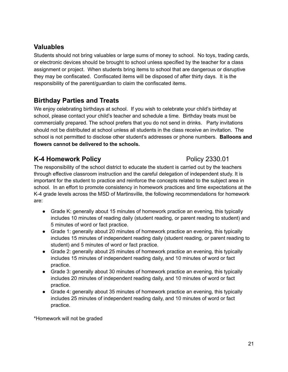#### **Valuables**

Students should not bring valuables or large sums of money to school. No toys, trading cards, or electronic devices should be brought to school unless specified by the teacher for a class assignment or project. When students bring items to school that are dangerous or disruptive they may be confiscated. Confiscated items will be disposed of after thirty days. It is the responsibility of the parent/guardian to claim the confiscated items.

#### **Birthday Parties and Treats**

We enjoy celebrating birthdays at school. If you wish to celebrate your child's birthday at school, please contact your child's teacher and schedule a time. Birthday treats must be commercially prepared. The school prefers that you do not send in drinks. Party invitations should not be distributed at school unless all students in the class receive an invitation. The school is not permitted to disclose other student's addresses or phone numbers. **Balloons and flowers cannot be delivered to the schools.**

#### **K-4 Homework Policy** Policy 2330.01

The responsibility of the school district to educate the student is carried out by the teachers through effective classroom instruction and the careful delegation of independent study. It is important for the student to practice and reinforce the concepts related to the subject area in school. In an effort to promote consistency in homework practices and time expectations at the K-4 grade levels across the MSD of Martinsville, the following recommendations for homework are:

- Grade K: generally about 15 minutes of homework practice an evening, this typically includes 10 minutes of reading daily (student reading, or parent reading to student) and 5 minutes of word or fact practice.
- Grade 1: generally about 20 minutes of homework practice an evening, this typically includes 15 minutes of independent reading daily (student reading, or parent reading to student) and 5 minutes of word or fact practice.
- Grade 2: generally about 25 minutes of homework practice an evening, this typically includes 15 minutes of independent reading daily, and 10 minutes of word or fact practice.
- Grade 3: generally about 30 minutes of homework practice an evening, this typically includes 20 minutes of independent reading daily, and 10 minutes of word or fact practice.
- Grade 4: generally about 35 minutes of homework practice an evening, this typically includes 25 minutes of independent reading daily, and 10 minutes of word or fact practice.

\*Homework will not be graded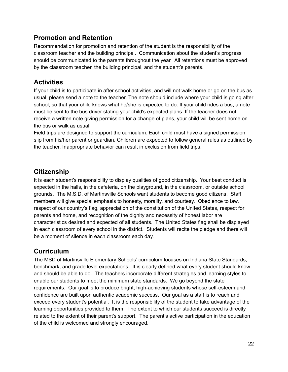#### **Promotion and Retention**

Recommendation for promotion and retention of the student is the responsibility of the classroom teacher and the building principal. Communication about the student's progress should be communicated to the parents throughout the year. All retentions must be approved by the classroom teacher, the building principal, and the student's parents.

#### **Activities**

If your child is to participate in after school activities, and will not walk home or go on the bus as usual, please send a note to the teacher. The note should include where your child is going after school, so that your child knows what he/she is expected to do. If your child rides a bus, a note must be sent to the bus driver stating your child's expected plans. If the teacher does not receive a written note giving permission for a change of plans, your child will be sent home on the bus or walk as usual.

Field trips are designed to support the curriculum. Each child must have a signed permission slip from his/her parent or guardian. Children are expected to follow general rules as outlined by the teacher. Inappropriate behavior can result in exclusion from field trips.

#### **Citizenship**

It is each student's responsibility to display qualities of good citizenship. Your best conduct is expected in the halls, in the cafeteria, on the playground, in the classroom, or outside school grounds. The M.S.D. of Martinsville Schools want students to become good citizens. Staff members will give special emphasis to honesty, morality, and courtesy. Obedience to law, respect of our country's flag, appreciation of the constitution of the United States, respect for parents and home, and recognition of the dignity and necessity of honest labor are characteristics desired and expected of all students. The United States flag shall be displayed in each classroom of every school in the district. Students will recite the pledge and there will be a moment of silence in each classroom each day.

#### **Curriculum**

The MSD of Martinsville Elementary Schools' curriculum focuses on Indiana State Standards, benchmark, and grade level expectations. It is clearly defined what every student should know and should be able to do. The teachers incorporate different strategies and learning styles to enable our students to meet the minimum state standards. We go beyond the state requirements. Our goal is to produce bright, high-achieving students whose self-esteem and confidence are built upon authentic academic success. Our goal as a staff is to reach and exceed every student's potential. It is the responsibility of the student to take advantage of the learning opportunities provided to them. The extent to which our students succeed is directly related to the extent of their parent's support. The parent's active participation in the education of the child is welcomed and strongly encouraged.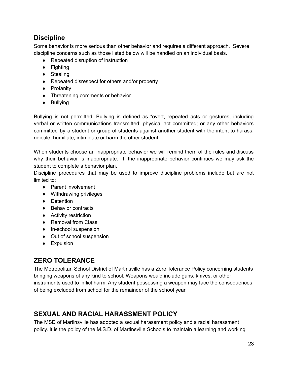#### **Discipline**

Some behavior is more serious than other behavior and requires a different approach. Severe discipline concerns such as those listed below will be handled on an individual basis.

- Repeated disruption of instruction
- Fighting
- Stealing
- Repeated disrespect for others and/or property
- Profanity
- Threatening comments or behavior
- Bullying

Bullying is not permitted. Bullying is defined as "overt, repeated acts or gestures, including verbal or written communications transmitted; physical act committed; or any other behaviors committed by a student or group of students against another student with the intent to harass, ridicule, humiliate, intimidate or harm the other student."

When students choose an inappropriate behavior we will remind them of the rules and discuss why their behavior is inappropriate. If the inappropriate behavior continues we may ask the student to complete a behavior plan.

Discipline procedures that may be used to improve discipline problems include but are not limited to:

- Parent involvement
- Withdrawing privileges
- Detention
- Behavior contracts
- Activity restriction
- Removal from Class
- In-school suspension
- Out of school suspension
- **•** Expulsion

#### **ZERO TOLERANCE**

The Metropolitan School District of Martinsville has a Zero Tolerance Policy concerning students bringing weapons of any kind to school. Weapons would include guns, knives, or other instruments used to inflict harm. Any student possessing a weapon may face the consequences of being excluded from school for the remainder of the school year.

#### **SEXUAL AND RACIAL HARASSMENT POLICY**

The MSD of Martinsville has adopted a sexual harassment policy and a racial harassment policy. It is the policy of the M.S.D. of Martinsville Schools to maintain a learning and working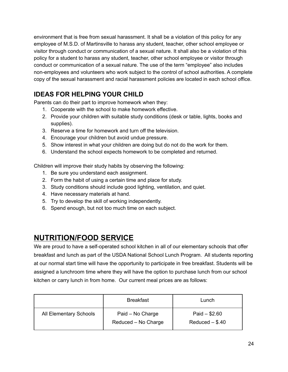environment that is free from sexual harassment. It shall be a violation of this policy for any employee of M.S.D. of Martinsville to harass any student, teacher, other school employee or visitor through conduct or communication of a sexual nature. It shall also be a violation of this policy for a student to harass any student, teacher, other school employee or visitor through conduct or communication of a sexual nature. The use of the term "employee" also includes non-employees and volunteers who work subject to the control of school authorities. A complete copy of the sexual harassment and racial harassment policies are located in each school office.

#### **IDEAS FOR HELPING YOUR CHILD**

Parents can do their part to improve homework when they:

- 1. Cooperate with the school to make homework effective.
- 2. Provide your children with suitable study conditions (desk or table, lights, books and supplies).
- 3. Reserve a time for homework and turn off the television.
- 4. Encourage your children but avoid undue pressure.
- 5. Show interest in what your children are doing but do not do the work for them.
- 6. Understand the school expects homework to be completed and returned.

Children will improve their study habits by observing the following:

- 1. Be sure you understand each assignment.
- 2. Form the habit of using a certain time and place for study.
- 3. Study conditions should include good lighting, ventilation, and quiet.
- 4. Have necessary materials at hand.
- 5. Try to develop the skill of working independently.
- 6. Spend enough, but not too much time on each subject.

## **NUTRITION/FOOD SERVICE**

We are proud to have a self-operated school kitchen in all of our elementary schools that offer breakfast and lunch as part of the USDA National School Lunch Program. All students reporting at our normal start time will have the opportunity to participate in free breakfast. Students will be assigned a lunchroom time where they will have the option to purchase lunch from our school kitchen or carry lunch in from home. Our current meal prices are as follows:

|                        | <b>Breakfast</b>                        | Lunch                              |
|------------------------|-----------------------------------------|------------------------------------|
| All Elementary Schools | Paid - No Charge<br>Reduced - No Charge | Paid $- $2.60$<br>$Reduced - $.40$ |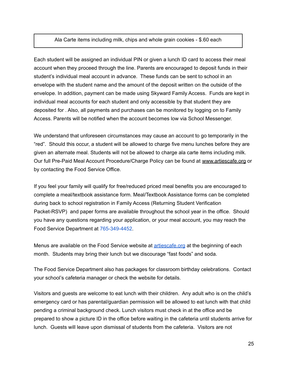#### Ala Carte items including milk, chips and whole grain cookies - \$.60 each

Each student will be assigned an individual PIN or given a lunch ID card to access their meal account when they proceed through the line. Parents are encouraged to deposit funds in their student's individual meal account in advance. These funds can be sent to school in an envelope with the student name and the amount of the deposit written on the outside of the envelope. In addition, payment can be made using Skyward Family Access. Funds are kept in individual meal accounts for each student and only accessible by that student they are deposited for . Also, all payments and purchases can be monitored by logging on to Family Access. Parents will be notified when the account becomes low via School Messenger.

We understand that unforeseen circumstances may cause an account to go temporarily in the "red". Should this occur, a student will be allowed to charge five menu lunches before they are given an alternate meal. Students will not be allowed to charge ala carte items including milk. Our full Pre-Paid Meal Account Procedure/Charge Policy can be found at [www.artiescafe.org](http://www.artiescafe.org) or by contacting the Food Service Office.

If you feel your family will qualify for free/reduced priced meal benefits you are encouraged to complete a meal/textbook assistance form. Meal/Textbook Assistance forms can be completed during back to school registration in Family Access (Returning Student Verification Packet-RSVP) and paper forms are available throughout the school year in the office. Should you have any questions regarding your application, or your meal account, you may reach the Food Service Department at 765-349-4452.

Menus are available on the Food Service website at **artiescafe** org at the beginning of each month. Students may bring their lunch but we discourage "fast foods" and soda.

The Food Service Department also has packages for classroom birthday celebrations. Contact your school's cafeteria manager or check the website for details.

Visitors and guests are welcome to eat lunch with their children. Any adult who is on the child's emergency card or has parental/guardian permission will be allowed to eat lunch with that child pending a criminal background check. Lunch visitors must check in at the office and be prepared to show a picture ID in the office before waiting in the cafeteria until students arrive for lunch. Guests will leave upon dismissal of students from the cafeteria. Visitors are not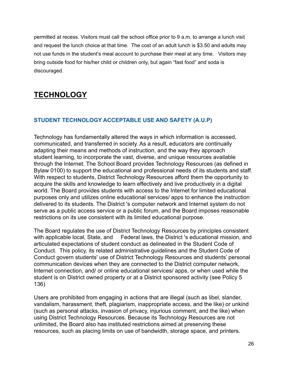permitted at recess. Visitors must call the school office prior to 9 a.m. to arrange a lunch visit and request the lunch choice at that time. The cost of an adult lunch is \$3.50 and adults may not use funds in the student's meal account to purchase their meal at any time. Visitors may bring outside food for his/her child or children only, but again "fast food" and soda is discouraged.

## **TECHNOLOGY**

#### **STUDENT TECHNOLOGY ACCEPTABLE USE AND SAFETY (A.U.P)**

Technology has fundamentally altered the ways in which information is accessed, communicated, and transferred in society. As a result, educators are continually adapting their means and methods of instruction, and the way they approach student learning, to incorporate the vast, diverse, and unique resources available through the Internet. The School Board provides Technology Resources (as defined in Bylaw 0100) to support the educational and professional needs of its students and staff. With respect to students, District Technology Resources afford them the opportunity to acquire the skills and knowledge to learn effectively and live productively in a digital world. The Board provides students with access to the Internet for limited educational purposes only and utilizes online educational services/ apps to enhance the instruction delivered to its students. The District 's computer network and Internet system do not serve as a public access service or a public forum, and the Board imposes reasonable restrictions on its use consistent with its limited educational purpose.

The Board regulates the use of District Technology Resources by principles consistent with applicable local, State, and Federal laws, the District 's educational mission, and articulated expectations of student conduct as delineated in the Student Code of Conduct. This policy, its related administrative guidelines and the Student Code of Conduct govern students' use of District Technology Resources and students' personal communication devices when they are connected to the District computer network, Internet connection, and/ or online educational services/ apps, or when used while the student is on District owned property or at a District sponsored activity (see Policy 5 136)

Users are prohibited from engaging in actions that are illegal (such as libel, slander, vandalism, harassment, theft, plagiarism, inappropriate access, and the like) or unkind (such as personal attacks, invasion of privacy, injurious comment, and the like) when using District Technology Resources. Because its Technology Resources are not unlimited, the Board also has instituted restrictions aimed at preserving these resources, such as placing limits on use of bandwidth, storage space, and printers.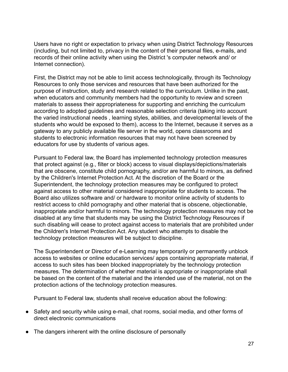Users have no right or expectation to privacy when using District Technology Resources (including, but not limited to, privacy in the content of their personal files, e-mails, and records of their online activity when using the District 's computer network and/ or Internet connection).

First, the District may not be able to limit access technologically, through its Technology Resources to only those services and resources that have been authorized for the purpose of instruction, study and research related to the curriculum. Unlike in the past, when educators and community members had the opportunity to review and screen materials to assess their appropriateness for supporting and enriching the curriculum according to adopted guidelines and reasonable selection criteria (taking into account the varied instructional needs , learning styles, abilities, and developmental levels of the students who would be exposed to them), access to the Internet, because it serves as a gateway to any publicly available file server in the world, opens classrooms and students to electronic information resources that may not have been screened by educators for use by students of various ages.

Pursuant to Federal law, the Board has implemented technology protection measures that protect against (e.g., filter or block) access to visual displays/depictions/materials that are obscene, constitute child pornography, and/or are harmful to minors, as defined by the Children's Internet Protection Act. At the discretion of the Board or the Superintendent, the technology protection measures may be configured to protect against access to other material considered inappropriate for students to access. The Board also utilizes software and/ or hardware to monitor online activity of students to restrict access to child pornography and other material that is obscene, objectionable, inappropriate and/or harmful to minors. The technology protection measures may not be disabled at any time that students may be using the District Technology Resources if such disabling will cease to protect against access to materials that are prohibited under the Children's Internet Protection Act. Any student who attempts to disable the technology protection measures will be subject to discipline.

The Superintendent or Director of e-Learning may temporarily or permanently unblock access to websites or online education services/ apps containing appropriate material, if access to such sites has been blocked inappropriately by the technology protection measures. The determination of whether material is appropriate or inappropriate shall be based on the content of the material and the intended use of the material, not on the protection actions of the technology protection measures.

Pursuant to Federal law, students shall receive education about the following:

- Safety and security while using e-mail, chat rooms, social media, and other forms of direct electronic communications
- The dangers inherent with the online disclosure of personally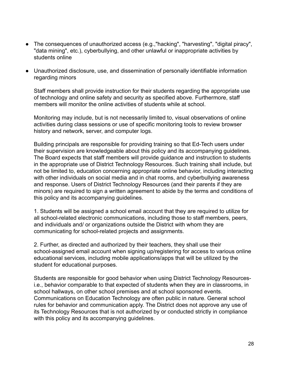- The consequences of unauthorized access (e.g.,"hacking", "harvesting", "digital piracy", "data mining", etc.), cyberbullying, and other unlawful or inappropriate activities by students online
- Unauthorized disclosure, use, and dissemination of personally identifiable information regarding minors

Staff members shall provide instruction for their students regarding the appropriate use of technology and online safety and security as specified above. Furthermore, staff members will monitor the online activities of students while at school.

Monitoring may include, but is not necessarily limited to, visual observations of online activities during class sessions or use of specific monitoring tools to review browser history and network, server, and computer logs.

Building principals are responsible for providing training so that Ed-Tech users under their supervision are knowledgeable about this policy and its accompanying guidelines. The Board expects that staff members will provide guidance and instruction to students in the appropriate use of District Technology Resources. Such training shall include, but not be limited to, education concerning appropriate online behavior, including interacting with other individuals on social media and in chat rooms, and cyberbullying awareness and response. Users of District Technology Resources (and their parents if they are minors) are required to sign a written agreement to abide by the terms and conditions of this policy and its accompanying guidelines.

1. Students will be assigned a school email account that they are required to utilize for all school-related electronic communications, including those to staff members, peers, and individuals and/ or organizations outside the District with whom they are communicating for school-related projects and assignments.

2. Further, as directed and authorized by their teachers, they shall use their school-assigned email account when signing up/registering for access to various online educational services, including mobile applications/apps that will be utilized by the student for educational purposes.

Students are responsible for good behavior when using District Technology Resourcesi.e., behavior comparable to that expected of students when they are in classrooms, in school hallways, on other school premises and at school sponsored events. Communications on Education Technology are often public in nature. General school rules for behavior and communication apply. The District does not approve any use of its Technology Resources that is not authorized by or conducted strictly in compliance with this policy and its accompanying quidelines.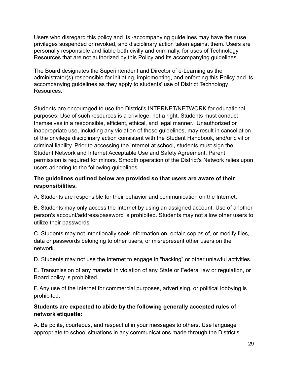Users who disregard this policy and its -accompanying guidelines may have their use privileges suspended or revoked, and disciplinary action taken against them. Users are personally responsible and liable both civilly and criminally, for uses of Technology Resources that are not authorized by this Policy and its accompanying guidelines.

The Board designates the Superintendent and Director of e-Learning as the administrator(s) responsible for initiating, implementing, and enforcing this Policy and its accompanying guidelines as they apply to students' use of District Technology **Resources** 

Students are encouraged to use the District's INTERNET/NETWORK for educational purposes. Use of such resources is a privilege, not a right. Students must conduct themselves in a responsible, efficient, ethical, and legal manner. Unauthorized or inappropriate use, including any violation of these guidelines, may result in cancellation of the privilege disciplinary action consistent with the Student Handbook, and/or civil or criminal liability. Prior to accessing the Internet at school, students must sign the Student Network and Internet Acceptable Use and Safety Agreement. Parent permission is required for minors. Smooth operation of the District's Network relies upon users adhering to the following guidelines.

#### **The guidelines outlined below are provided so that users are aware of their responsibilities.**

A. Students are responsible for their behavior and communication on the Internet.

B. Students may only access the Internet by using an assigned account. Use of another person's account/address/password is prohibited. Students may not allow other users to utilize their passwords.

C. Students may not intentionally seek information on, obtain copies of, or modify files, data or passwords belonging to other users, or misrepresent other users on the network.

D. Students may not use the Internet to engage in "hacking" or other unlawful activities.

E. Transmission of any material in violation of any State or Federal law or regulation, or Board policy is prohibited.

F. Any use of the Internet for commercial purposes, advertising, or political lobbying is prohibited.

#### **Students are expected to abide by the following generally accepted rules of network etiquette:**

A. Be polite, courteous, and respectful in your messages to others. Use language appropriate to school situations in any communications made through the District's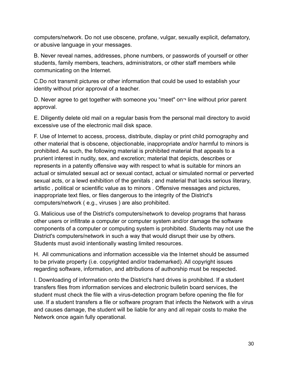computers/network. Do not use obscene, profane, vulgar, sexually explicit, defamatory, or abusive language in your messages.

B. Never reveal names, addresses, phone numbers, or passwords of yourself or other students, family members, teachers, administrators, or other staff members while communicating on the Internet.

C.Do not transmit pictures or other information that could be used to establish your identity without prior approval of a teacher.

D. Never agree to get together with someone you "meet" on¬ line without prior parent approval.

E. Diligently delete old mail on a regular basis from the personal mail directory to avoid excessive use of the electronic mail disk space.

F. Use of Internet to access, process, distribute, display or print child pornography and other material that is obscene, objectionable, inappropriate and/or harmful to minors is prohibited. As such, the following material is prohibited material that appeals to a prurient interest in nudity, sex, and excretion; material that depicts, describes or represents in a patently offensive way with respect to what is suitable for minors an actual or simulated sexual act or sexual contact, actual or simulated normal or perverted sexual acts, or a lewd exhibition of the genitals ; and material that lacks serious literary, artistic , political or scientific value as to minors . Offensive messages and pictures, inappropriate text files, or files dangerous to the integrity of the District's computers/network ( e.g., viruses ) are also prohibited.

G. Malicious use of the District's computers/network to develop programs that harass other users or infiltrate a computer or computer system and/or damage the software components of a computer or computing system is prohibited. Students may not use the District's computers/network in such a way that would disrupt their use by others. Students must avoid intentionally wasting limited resources.

H. All communications and information accessible via the Internet should be assumed to be private property (i.e. copyrighted and/or trademarked). All copyright issues regarding software, information, and attributions of authorship must be respected.

I. Downloading of information onto the District's hard drives is prohibited. If a student transfers files from information services and electronic bulletin board services, the student must check the file with a virus-detection program before opening the file for use. If a student transfers a file or software program that infects the Network with a virus and causes damage, the student will be liable for any and all repair costs to make the Network once again fully operational.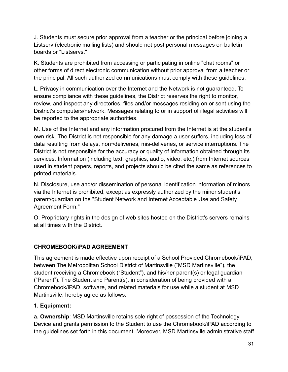J. Students must secure prior approval from a teacher or the principal before joining a Listserv (electronic mailing lists) and should not post personal messages on bulletin boards or "Listservs."

K. Students are prohibited from accessing or participating in online "chat rooms" or other forms of direct electronic communication without prior approval from a teacher or the principal. All such authorized communications must comply with these guidelines.

L. Privacy in communication over the Internet and the Network is not guaranteed. To ensure compliance with these guidelines, the District reserves the right to monitor, review, and inspect any directories, files and/or messages residing on or sent using the District's computers/network. Messages relating to or in support of illegal activities will be reported to the appropriate authorities.

M. Use of the Internet and any information procured from the Internet is at the student's own risk. The District is not responsible for any damage a user suffers, including loss of data resulting from delays, non¬deliveries, mis-deliveries, or service interruptions. The District is not responsible for the accuracy or quality of information obtained through its services. Information (including text, graphics, audio, video, etc.) from Internet sources used in student papers, reports, and projects should be cited the same as references to printed materials.

N. Disclosure, use and/or dissemination of personal identification information of minors via the Internet is prohibited, except as expressly authorized by the minor student's parent/guardian on the "Student Network and Internet Acceptable Use and Safety Agreement Form."

O. Proprietary rights in the design of web sites hosted on the District's servers remains at all times with the District.

#### **CHROMEBOOK/iPAD AGREEMENT**

This agreement is made effective upon receipt of a School Provided Chromebook/iPAD, between The Metropolitan School District of Martinsville ("MSD Martinsville"), the student receiving a Chromebook ("Student"), and his/her parent(s) or legal guardian ("Parent"). The Student and Parent(s), in consideration of being provided with a Chromebook/iPAD, software, and related materials for use while a student at MSD Martinsville, hereby agree as follows:

#### **1. Equipment:**

**a. Ownership**: MSD Martinsville retains sole right of possession of the Technology Device and grants permission to the Student to use the Chromebook/iPAD according to the guidelines set forth in this document. Moreover, MSD Martinsville administrative staff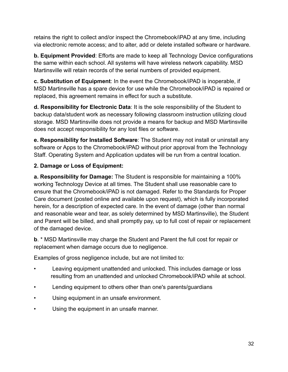retains the right to collect and/or inspect the Chromebook/iPAD at any time, including via electronic remote access; and to alter, add or delete installed software or hardware.

**b. Equipment Provided**: Efforts are made to keep all Technology Device configurations the same within each school. All systems will have wireless network capability. MSD Martinsville will retain records of the serial numbers of provided equipment.

**c. Substitution of Equipment**: In the event the Chromebook/iPAD is inoperable, if MSD Martinsville has a spare device for use while the Chromebook/iPAD is repaired or replaced, this agreement remains in effect for such a substitute.

**d. Responsibility for Electronic Data**: It is the sole responsibility of the Student to backup data/student work as necessary following classroom instruction utilizing cloud storage. MSD Martinsville does not provide a means for backup and MSD Martinsville does not accept responsibility for any lost files or software.

**e. Responsibility for Installed Software**: The Student may not install or uninstall any software or Apps to the Chromebook/iPAD without prior approval from the Technology Staff. Operating System and Application updates will be run from a central location.

#### **2. Damage or Loss of Equipment:**

**a. Responsibility for Damage:** The Student is responsible for maintaining a 100% working Technology Device at all times. The Student shall use reasonable care to ensure that the Chromebook/iPAD is not damaged. Refer to the Standards for Proper Care document (posted online and available upon request), which is fully incorporated herein, for a description of expected care. In the event of damage (other than normal and reasonable wear and tear, as solely determined by MSD Martinsville), the Student and Parent will be billed, and shall promptly pay, up to full cost of repair or replacement of the damaged device.

**b**. \* MSD Martinsville may charge the Student and Parent the full cost for repair or replacement when damage occurs due to negligence.

Examples of gross negligence include, but are not limited to:

- Leaving equipment unattended and unlocked. This includes damage or loss resulting from an unattended and unlocked Chromebook/iPAD while at school.
- Lending equipment to others other than one's parents/guardians
- Using equipment in an unsafe environment.
- Using the equipment in an unsafe manner.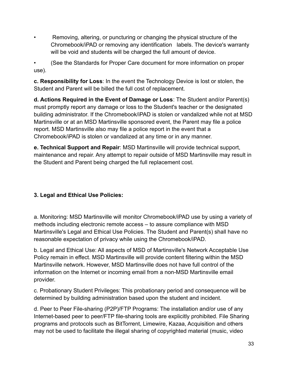• Removing, altering, or puncturing or changing the physical structure of the Chromebook/iPAD or removing any identification labels. The device's warranty will be void and students will be charged the full amount of device.

• (See the Standards for Proper Care document for more information on proper use).

**c. Responsibility for Loss**: In the event the Technology Device is lost or stolen, the Student and Parent will be billed the full cost of replacement.

**d. Actions Required in the Event of Damage or Loss**: The Student and/or Parent(s) must promptly report any damage or loss to the Student's teacher or the designated building administrator. If the Chromebook/iPAD is stolen or vandalized while not at MSD Martinsville or at an MSD Martinsville sponsored event, the Parent may file a police report. MSD Martinsville also may file a police report in the event that a Chromebook/iPAD is stolen or vandalized at any time or in any manner.

**e. Technical Support and Repair**: MSD Martinsville will provide technical support, maintenance and repair. Any attempt to repair outside of MSD Martinsville may result in the Student and Parent being charged the full replacement cost.

#### **3. Legal and Ethical Use Policies:**

a. Monitoring: MSD Martinsville will monitor Chromebook/iPAD use by using a variety of methods including electronic remote access – to assure compliance with MSD Martinsville's Legal and Ethical Use Policies. The Student and Parent(s) shall have no reasonable expectation of privacy while using the Chromebook/iPAD.

b. Legal and Ethical Use: All aspects of MSD of Martinsville's Network Acceptable Use Policy remain in effect. MSD Martinsville will provide content filtering within the MSD Martinsville network. However, MSD Martinsville does not have full control of the information on the Internet or incoming email from a non-MSD Martinsville email provider.

c. Probationary Student Privileges: This probationary period and consequence will be determined by building administration based upon the student and incident.

d. Peer to Peer File-sharing (P2P)/FTP Programs: The installation and/or use of any Internet-based peer to peer/FTP file-sharing tools are explicitly prohibited. File Sharing programs and protocols such as BitTorrent, Limewire, Kazaa, Acquisition and others may not be used to facilitate the illegal sharing of copyrighted material (music, video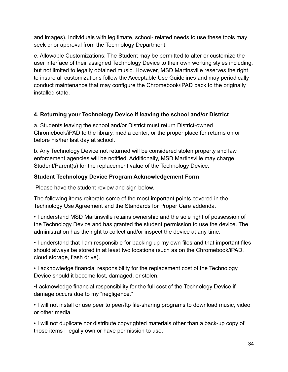and images). Individuals with legitimate, school- related needs to use these tools may seek prior approval from the Technology Department.

e. Allowable Customizations: The Student may be permitted to alter or customize the user interface of their assigned Technology Device to their own working styles including, but not limited to legally obtained music. However, MSD Martinsville reserves the right to insure all customizations follow the Acceptable Use Guidelines and may periodically conduct maintenance that may configure the Chromebook/iPAD back to the originally installed state.

#### **4. Returning your Technology Device if leaving the school and/or District**

a. Students leaving the school and/or District must return District-owned Chromebook/iPAD to the library, media center, or the proper place for returns on or before his/her last day at school.

b. Any Technology Device not returned will be considered stolen property and law enforcement agencies will be notified. Additionally, MSD Martinsville may charge Student/Parent(s) for the replacement value of the Technology Device.

#### **Student Technology Device Program Acknowledgement Form**

Please have the student review and sign below.

The following items reiterate some of the most important points covered in the Technology Use Agreement and the Standards for Proper Care addenda.

• I understand MSD Martinsville retains ownership and the sole right of possession of the Technology Device and has granted the student permission to use the device. The administration has the right to collect and/or inspect the device at any time.

• I understand that I am responsible for backing up my own files and that important files should always be stored in at least two locations (such as on the Chromebook/iPAD, cloud storage, flash drive).

• I acknowledge financial responsibility for the replacement cost of the Technology Device should it become lost, damaged, or stolen.

•I acknowledge financial responsibility for the full cost of the Technology Device if damage occurs due to my "negligence."

• I will not install or use peer to peer/ftp file-sharing programs to download music, video or other media.

• I will not duplicate nor distribute copyrighted materials other than a back-up copy of those items I legally own or have permission to use.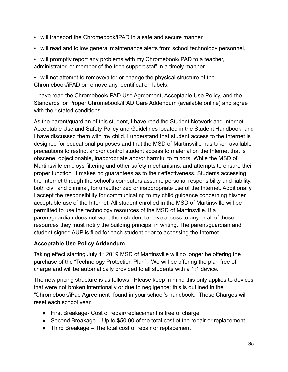- I will transport the Chromebook/iPAD in a safe and secure manner.
- I will read and follow general maintenance alerts from school technology personnel.

• I will promptly report any problems with my Chromebook/iPAD to a teacher, administrator, or member of the tech support staff in a timely manner.

• I will not attempt to remove/alter or change the physical structure of the Chromebook/iPAD or remove any identification labels.

I have read the Chromebook/iPAD Use Agreement, Acceptable Use Policy, and the Standards for Proper Chromebook/iPAD Care Addendum (available online) and agree with their stated conditions.

As the parent/guardian of this student, I have read the Student Network and Internet Acceptable Use and Safety Policy and Guidelines located in the Student Handbook, and I have discussed them with my child. I understand that student access to the Internet is designed for educational purposes and that the MSD of Martinsville has taken available precautions to restrict and/or control student access to material on the Internet that is obscene, objectionable, inappropriate and/or harmful to minors. While the MSD of Martinsville employs filtering and other safety mechanisms, and attempts to ensure their proper function, it makes no guarantees as to their effectiveness. Students accessing the Internet through the school's computers assume personal responsibility and liability, both civil and criminal, for unauthorized or inappropriate use of the Internet. Additionally, I accept the responsibility for communicating to my child guidance concerning his/her acceptable use of the Internet. All student enrolled in the MSD of Martinsville will be permitted to use the technology resources of the MSD of Martinsville. If a parent/guardian does not want their student to have access to any or all of these resources they must notify the building principal in writing. The parent/guardian and student signed AUP is filed for each student prior to accessing the Internet.

#### **Acceptable Use Policy Addendum**

Taking effect starting July 1<sup>st</sup> 2019 MSD of Martinsville will no longer be offering the purchase of the "Technology Protection Plan". We will be offering the plan free of charge and will be automatically provided to all students with a 1:1 device.

The new pricing structure is as follows. Please keep in mind this only applies to devices that were not broken intentionally or due to negligence; this is outlined in the "Chromebook/iPad Agreement" found in your school's handbook. These Charges will reset each school year.

- First Breakage- Cost of repair/replacement is free of charge
- Second Breakage Up to \$50.00 of the total cost of the repair or replacement
- Third Breakage The total cost of repair or replacement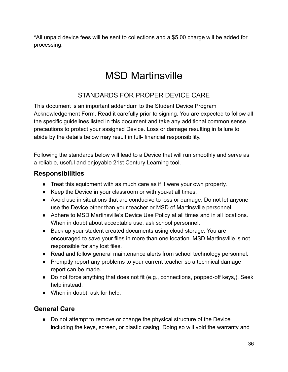\*All unpaid device fees will be sent to collections and a \$5.00 charge will be added for processing.

## MSD Martinsville

## STANDARDS FOR PROPER DEVICE CARE

This document is an important addendum to the Student Device Program Acknowledgement Form. Read it carefully prior to signing. You are expected to follow all the specific guidelines listed in this document and take any additional common sense precautions to protect your assigned Device. Loss or damage resulting in failure to abide by the details below may result in full- financial responsibility.

Following the standards below will lead to a Device that will run smoothly and serve as a reliable, useful and enjoyable 21st Century Learning tool.

#### **Responsibilities**

- Treat this equipment with as much care as if it were your own property.
- Keep the Device in your classroom or with you-at all times.
- Avoid use in situations that are conducive to loss or damage. Do not let anyone use the Device other than your teacher or MSD of Martinsville personnel.
- Adhere to MSD Martinsville's Device Use Policy at all times and in all locations. When in doubt about acceptable use, ask school personnel.
- Back up your student created documents using cloud storage. You are encouraged to save your files in more than one location. MSD Martinsville is not responsible for any lost files.
- Read and follow general maintenance alerts from school technology personnel.
- Promptly report any problems to your current teacher so a technical damage report can be made.
- Do not force anything that does not fit (e.g., connections, popped-off keys,). Seek help instead.
- When in doubt, ask for help.

#### **General Care**

● Do not attempt to remove or change the physical structure of the Device including the keys, screen, or plastic casing. Doing so will void the warranty and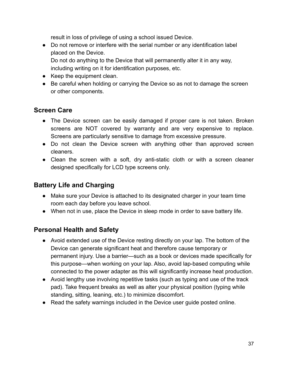result in loss of privilege of using a school issued Device.

- Do not remove or interfere with the serial number or any identification label placed on the Device. Do not do anything to the Device that will permanently alter it in any way, including writing on it for identification purposes, etc.
- Keep the equipment clean.
- Be careful when holding or carrying the Device so as not to damage the screen or other components.

# **Screen Care**

- The Device screen can be easily damaged if proper care is not taken. Broken screens are NOT covered by warranty and are very expensive to replace. Screens are particularly sensitive to damage from excessive pressure.
- Do not clean the Device screen with anything other than approved screen cleaners.
- Clean the screen with a soft, dry anti-static cloth or with a screen cleaner designed specifically for LCD type screens only.

# **Battery Life and Charging**

- Make sure your Device is attached to its designated charger in your team time room each day before you leave school.
- When not in use, place the Device in sleep mode in order to save battery life.

# **Personal Health and Safety**

- Avoid extended use of the Device resting directly on your lap. The bottom of the Device can generate significant heat and therefore cause temporary or permanent injury. Use a barrier—such as a book or devices made specifically for this purpose—when working on your lap. Also, avoid lap-based computing while connected to the power adapter as this will significantly increase heat production.
- Avoid lengthy use involving repetitive tasks (such as typing and use of the track pad). Take frequent breaks as well as alter your physical position (typing while standing, sitting, leaning, etc.) to minimize discomfort.
- Read the safety warnings included in the Device user guide posted online.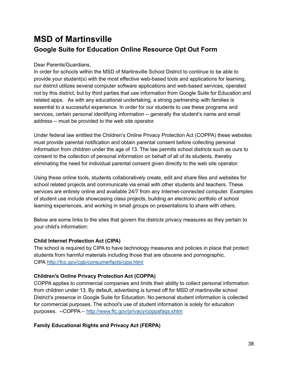# **MSD of Martinsville Google Suite for Education Online Resource Opt Out Form**

#### Dear Parents/Guardians,

In order for schools within the MSD of Martinsville School District to continue to be able to provide your student(s) with the most effective web-based tools and applications for learning, our district utilizes several computer software applications and web-based services, operated not by this district, but by third parties that use information from Google Suite for Education and related apps. As with any educational undertaking, a strong partnership with families is essential to a successful experience. In order for our students to use these programs and services, certain personal identifying information -- generally the student's name and email address -- must be provided to the web site operator.

Under federal law entitled the Children's Online Privacy Protection Act (COPPA) these websites must provide parental notification and obtain parental consent before collecting personal information from children under the age of 13. The law permits school districts such as ours to consent to the collection of personal information on behalf of all of its students, thereby eliminating the need for individual parental consent given directly to the web site operator.

Using these online tools, students collaboratively create, edit and share files and websites for school related projects and communicate via email with other students and teachers. These services are entirely online and available 24/7 from any Internet-connected computer. Examples of student use include showcasing class projects, building an electronic portfolio of school learning experiences, and working in small groups on presentations to share with others.

Below are some links to the sites that govern the districts privacy measures as they pertain to your child's information:

#### **Child Internet Protection Act (CIPA)**

The school is required by CIPA to have technology measures and policies in place that protect students from harmful materials including those that are obscene and pornographic. CIPA <http://fcc.gov/cgb/consumerfacts/cipa.html>

### **Children's Online Privacy Protection Act (COPPA)**

COPPA applies to commercial companies and limits their ability to collect personal information from children under 13. By default, advertising is turned off for MSD of martinsville school District's presence in Google Suite for Education. No personal student information is collected for commercial purposes. The school's use of student information is solely for education purposes. --COPPA – <http://www.ftc.gov/privacy/coppafaqs.shtm>

### **Family Educational Rights and Privacy Act (FERPA)**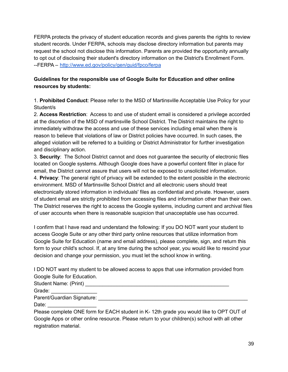FERPA protects the privacy of student education records and gives parents the rights to review student records. Under FERPA, schools may disclose directory information but parents may request the school not disclose this information. Parents are provided the opportunity annually to opt out of disclosing their student's directory information on the District's Enrollment Form. --FERPA – <http://www.ed.gov/policy/gen/guid/fpco/ferpa>

### **Guidelines for the responsible use of Google Suite for Education and other online resources by students:**

1. **Prohibited Conduct**: Please refer to the MSD of Martinsville Acceptable Use Policy for your Student/s

2. **Access Restriction**: Access to and use of student email is considered a privilege accorded at the discretion of the MSD of martinsville School District. The District maintains the right to immediately withdraw the access and use of these services including email when there is reason to believe that violations of law or District policies have occurred. In such cases, the alleged violation will be referred to a building or District Administrator for further investigation and disciplinary action.

3. **Security**: The School District cannot and does not guarantee the security of electronic files located on Google systems. Although Google does have a powerful content filter in place for email, the District cannot assure that users will not be exposed to unsolicited information. 4. **Privacy**: The general right of privacy will be extended to the extent possible in the electronic environment. MSD of Martinsville School District and all electronic users should treat electronically stored information in individuals' files as confidential and private. However, users of student email are strictly prohibited from accessing files and information other than their own. The District reserves the right to access the Google systems, including current and archival files of user accounts when there is reasonable suspicion that unacceptable use has occurred.

I confirm that I have read and understand the following: If you DO NOT want your student to access Google Suite or any other third party online resources that utilize information from Google Suite for Education (name and email address), please complete, sign, and return this form to your child's school. If, at any time during the school year, you would like to rescind your decision and change your permission, you must let the school know in writing.

I DO NOT want my student to be allowed access to apps that use information provided from Google Suite for Education.

Student Name: (Print) \_\_\_\_\_\_\_\_\_\_\_\_\_\_\_\_\_\_\_\_\_\_\_\_\_\_\_\_\_\_\_\_\_\_\_\_\_\_\_\_\_\_\_\_\_\_\_\_\_\_

Grade:  $\Box$ 

Parent/Guardian Signature: **Example 2018** 

Date:

Please complete ONE form for EACH student in K- 12th grade you would like to OPT OUT of Google Apps or other online resource. Please return to your children(s) school with all other registration material.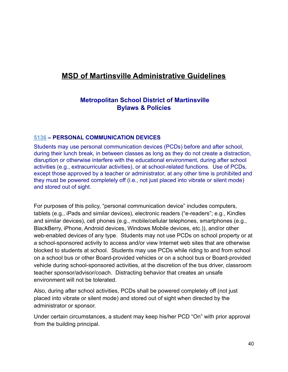# **MSD of Martinsville Administrative Guidelines**

# **Metropolitan School District of Martinsville Bylaws & Policies**

### **[5136](http://www.neola.com/martinsville-in/search/ag/ag5136.htm) – PERSONAL COMMUNICATION DEVICES**

Students may use personal communication devices (PCDs) before and after school, during their lunch break, in between classes as long as they do not create a distraction, disruption or otherwise interfere with the educational environment, during after school activities (e.g., extracurricular activities), or at school-related functions. Use of PCDs, except those approved by a teacher or administrator, at any other time is prohibited and they must be powered completely off (i.e., not just placed into vibrate or silent mode) and stored out of sight.

For purposes of this policy, "personal communication device" includes computers, tablets (e.g., iPads and similar devices), electronic readers ("e-readers"; e.g., Kindles and similar devices), cell phones (e.g., mobile/cellular telephones, smartphones (e.g., BlackBerry, iPhone, Android devices, Windows Mobile devices, etc.)), and/or other web-enabled devices of any type. Students may not use PCDs on school property or at a school-sponsored activity to access and/or view Internet web sites that are otherwise blocked to students at school. Students may use PCDs while riding to and from school on a school bus or other Board-provided vehicles or on a school bus or Board-provided vehicle during school-sponsored activities, at the discretion of the bus driver, classroom teacher sponsor/advisor/coach. Distracting behavior that creates an unsafe environment will not be tolerated.

Also, during after school activities, PCDs shall be powered completely off (not just placed into vibrate or silent mode) and stored out of sight when directed by the administrator or sponsor.

Under certain circumstances, a student may keep his/her PCD "On" with prior approval from the building principal.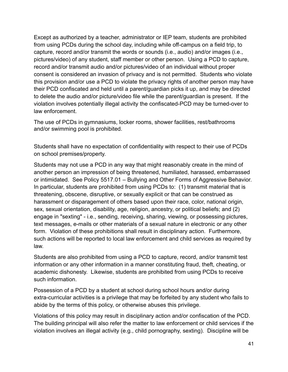Except as authorized by a teacher, administrator or IEP team, students are prohibited from using PCDs during the school day, including while off-campus on a field trip, to capture, record and/or transmit the words or sounds (i.e., audio) and/or images (i.e., pictures/video) of any student, staff member or other person. Using a PCD to capture, record and/or transmit audio and/or pictures/video of an individual without proper consent is considered an invasion of privacy and is not permitted. Students who violate this provision and/or use a PCD to violate the privacy rights of another person may have their PCD confiscated and held until a parent/guardian picks it up, and may be directed to delete the audio and/or picture/video file while the parent/guardian is present. If the violation involves potentially illegal activity the confiscated-PCD may be turned-over to law enforcement.

The use of PCDs in gymnasiums, locker rooms, shower facilities, rest/bathrooms and/or swimming pool is prohibited.

Students shall have no expectation of confidentiality with respect to their use of PCDs on school premises/property.

Students may not use a PCD in any way that might reasonably create in the mind of another person an impression of being threatened, humiliated, harassed, embarrassed or intimidated. See Policy 5517.01 – Bullying and Other Forms of Aggressive Behavior. In particular, students are prohibited from using PCDs to: (1) transmit material that is threatening, obscene, disruptive, or sexually explicit or that can be construed as harassment or disparagement of others based upon their race, color, national origin, sex, sexual orientation, disability, age, religion, ancestry, or political beliefs; and (2) engage in "sexting" - i.e., sending, receiving, sharing, viewing, or possessing pictures, text messages, e-mails or other materials of a sexual nature in electronic or any other form. Violation of these prohibitions shall result in disciplinary action. Furthermore, such actions will be reported to local law enforcement and child services as required by law.

Students are also prohibited from using a PCD to capture, record, and/or transmit test information or any other information in a manner constituting fraud, theft, cheating, or academic dishonesty. Likewise, students are prohibited from using PCDs to receive such information.

Possession of a PCD by a student at school during school hours and/or during extra-curricular activities is a privilege that may be forfeited by any student who fails to abide by the terms of this policy, or otherwise abuses this privilege.

Violations of this policy may result in disciplinary action and/or confiscation of the PCD. The building principal will also refer the matter to law enforcement or child services if the violation involves an illegal activity (e.g., child pornography, sexting). Discipline will be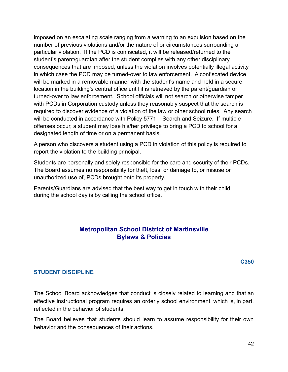imposed on an escalating scale ranging from a warning to an expulsion based on the number of previous violations and/or the nature of or circumstances surrounding a particular violation. If the PCD is confiscated, it will be released/returned to the student's parent/guardian after the student complies with any other disciplinary consequences that are imposed, unless the violation involves potentially illegal activity in which case the PCD may be turned-over to law enforcement. A confiscated device will be marked in a removable manner with the student's name and held in a secure location in the building's central office until it is retrieved by the parent/guardian or turned-over to law enforcement. School officials will not search or otherwise tamper with PCDs in Corporation custody unless they reasonably suspect that the search is required to discover evidence of a violation of the law or other school rules. Any search will be conducted in accordance with Policy 5771 – Search and Seizure. If multiple offenses occur, a student may lose his/her privilege to bring a PCD to school for a designated length of time or on a permanent basis.

A person who discovers a student using a PCD in violation of this policy is required to report the violation to the building principal.

Students are personally and solely responsible for the care and security of their PCDs. The Board assumes no responsibility for theft, loss, or damage to, or misuse or unauthorized use of, PCDs brought onto its property.

Parents/Guardians are advised that the best way to get in touch with their child during the school day is by calling the school office.

# **Metropolitan School District of Martinsville Bylaws & Policies**

**C350**

### **STUDENT DISCIPLINE**

The School Board acknowledges that conduct is closely related to learning and that an effective instructional program requires an orderly school environment, which is, in part, reflected in the behavior of students.

The Board believes that students should learn to assume responsibility for their own behavior and the consequences of their actions.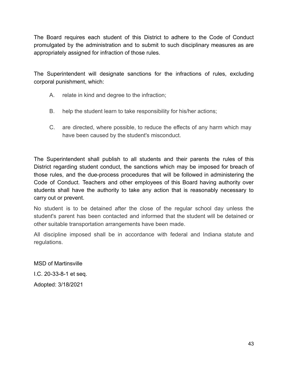The Board requires each student of this District to adhere to the Code of Conduct promulgated by the administration and to submit to such disciplinary measures as are appropriately assigned for infraction of those rules.

The Superintendent will designate sanctions for the infractions of rules, excluding corporal punishment, which:

- A. relate in kind and degree to the infraction;
- B. help the student learn to take responsibility for his/her actions;
- C. are directed, where possible, to reduce the effects of any harm which may have been caused by the student's misconduct.

The Superintendent shall publish to all students and their parents the rules of this District regarding student conduct, the sanctions which may be imposed for breach of those rules, and the due-process procedures that will be followed in administering the Code of Conduct. Teachers and other employees of this Board having authority over students shall have the authority to take any action that is reasonably necessary to carry out or prevent.

No student is to be detained after the close of the regular school day unless the student's parent has been contacted and informed that the student will be detained or other suitable transportation arrangements have been made.

All discipline imposed shall be in accordance with federal and Indiana statute and regulations.

MSD of Martinsville I.C. 20-33-8-1 et seq. Adopted: 3/18/2021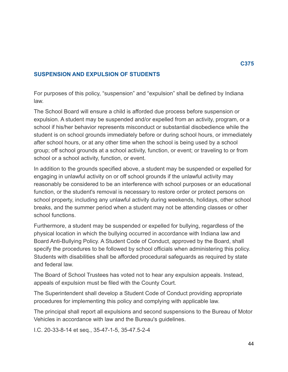### **SUSPENSION AND EXPULSION OF STUDENTS**

For purposes of this policy, "suspension" and "expulsion" shall be defined by Indiana law.

The School Board will ensure a child is afforded due process before suspension or expulsion. A student may be suspended and/or expelled from an activity, program, or a school if his/her behavior represents misconduct or substantial disobedience while the student is on school grounds immediately before or during school hours, or immediately after school hours, or at any other time when the school is being used by a school group; off school grounds at a school activity, function, or event; or traveling to or from school or a school activity, function, or event.

In addition to the grounds specified above, a student may be suspended or expelled for engaging in unlawful activity on or off school grounds if the unlawful activity may reasonably be considered to be an interference with school purposes or an educational function, or the student's removal is necessary to restore order or protect persons on school property, including any unlawful activity during weekends, holidays, other school breaks, and the summer period when a student may not be attending classes or other school functions.

Furthermore, a student may be suspended or expelled for bullying, regardless of the physical location in which the bullying occurred in accordance with Indiana law and Board Anti-Bullying Policy. A Student Code of Conduct, approved by the Board, shall specify the procedures to be followed by school officials when administering this policy. Students with disabilities shall be afforded procedural safeguards as required by state and federal law.

The Board of School Trustees has voted not to hear any expulsion appeals. Instead, appeals of expulsion must be filed with the County Court.

The Superintendent shall develop a Student Code of Conduct providing appropriate procedures for implementing this policy and complying with applicable law.

The principal shall report all expulsions and second suspensions to the Bureau of Motor Vehicles in accordance with law and the Bureau's guidelines.

I.C. 20-33-8-14 et seq., 35-47-1-5, 35-47.5-2-4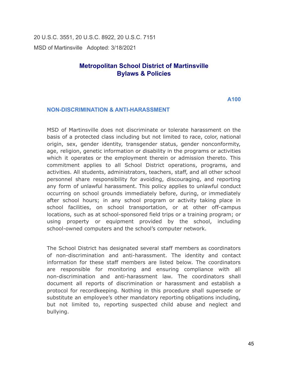20 U.S.C. 3551, 20 U.S.C. 8922, 20 U.S.C. 7151 MSD of Martinsville Adopted: 3/18/2021

# **Metropolitan School District of Martinsville Bylaws & Policies**

**A100**

#### **NON-DISCRIMINATION & ANTI-HARASSMENT**

MSD of Martinsville does not discriminate or tolerate harassment on the basis of a protected class including but not limited to race, color, national origin, sex, gender identity, transgender status, gender nonconformity, age, religion, genetic information or disability in the programs or activities which it operates or the employment therein or admission thereto. This commitment applies to all School District operations, programs, and activities. All students, administrators, teachers, staff, and all other school personnel share responsibility for avoiding, discouraging, and reporting any form of unlawful harassment. This policy applies to unlawful conduct occurring on school grounds immediately before, during, or immediately after school hours; in any school program or activity taking place in school facilities, on school transportation, or at other off-campus locations, such as at school-sponsored field trips or a training program; or using property or equipment provided by the school, including school-owned computers and the school's computer network.

The School District has designated several staff members as coordinators of non-discrimination and anti-harassment. The identity and contact information for these staff members are listed below. The coordinators are responsible for monitoring and ensuring compliance with all non-discrimination and anti-harassment law. The coordinators shall document all reports of discrimination or harassment and establish a protocol for recordkeeping. Nothing in this procedure shall supersede or substitute an employee's other mandatory reporting obligations including, but not limited to, reporting suspected child abuse and neglect and bullying.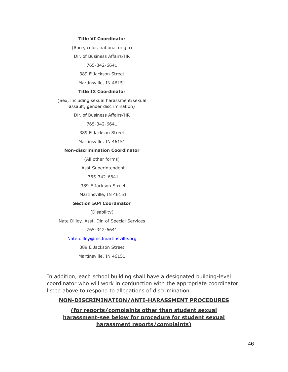#### **Title VI Coordinator**

(Race, color, national origin)

Dir. of Business Affairs/HR

765-342-6641

389 E Jackson Street

Martinsville, IN 46151

#### **Title IX Coordinator**

(Sex, including sexual harassment/sexual assault, gender discrimination)

Dir. of Business Affairs/HR

765-342-6641

389 E Jackson Street

Martinsville, IN 46151

#### **Non-discrimination Coordinator**

(All other forms)

Asst Superintendent

765-342-6641

389 E Jackson Street

Martinsville, IN 46151

#### **Section 504 Coordinator**

(Disability)

Nate Dilley, Asst. Dir. of Special Services

765-342-6641

#### Nate.dilley@msdmartinsville.org

389 E Jackson Street

Martinsville, IN 46151

In addition, each school building shall have a designated building-level coordinator who will work in conjunction with the appropriate coordinator listed above to respond to allegations of discrimination.

#### **NON-DISCRIMINATION/ANTI-HARASSMENT PROCEDURES**

**(for reports/complaints other than student sexual harassment-see below for procedure for student sexual harassment reports/complaints)**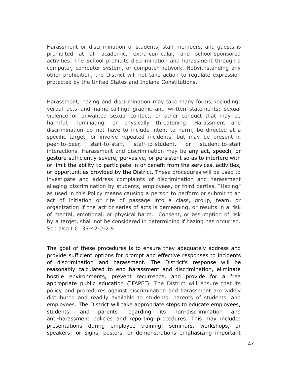Harassment or discrimination of students, staff members, and guests is prohibited at all academic, extra-curricular, and school-sponsored activities. The School prohibits discrimination and harassment through a computer, computer system, or computer network. Notwithstanding any other prohibition, the District will not take action to regulate expression protected by the United States and Indiana Constitutions.

Harassment, hazing and discrimination may take many forms, including: verbal acts and name-calling; graphic and written statements; sexual violence or unwanted sexual contact; or other conduct that may be harmful, humiliating, or physically threatening. Harassment and discrimination do not have to include intent to harm, be directed at a specific target, or involve repeated incidents, but may be present in peer-to-peer, staff-to-staff, staff-to-student, or student-to-staff interactions. Harassment and discrimination may be any act, speech, or gesture sufficiently severe, pervasive, or persistent so as to interfere with or limit the ability to participate in or benefit from the services, activities, or opportunities provided by the District. These procedures will be used to investigate and address complaints of discrimination and harassment alleging discrimination by students, employees, or third parties. "Hazing" as used in this Policy means causing a person to perform or submit to an act of initiation or rite of passage into a class, group, team, or organization if the act or series of acts is demeaning, or results in a risk of mental, emotional, or physical harm. Consent, or assumption of risk by a target, shall not be considered in determining if hazing has occurred. See also I.C. 35-42-2-2.5.

The goal of these procedures is to ensure they adequately address and provide sufficient options for prompt and effective responses to incidents of discrimination and harassment. The District's response will be reasonably calculated to end harassment and discrimination, eliminate hostile environments, prevent recurrence, and provide for a free appropriate public education ("FAPE"). The District will ensure that its policy and procedures against discrimination and harassment are widely distributed and readily available to students, parents of students, and employees. The District will take appropriate steps to educate employees, students, and parents regarding its non-discrimination and anti-harassment policies and reporting procedures. This may include: presentations during employee training; seminars, workshops, or speakers; or signs, posters, or demonstrations emphasizing important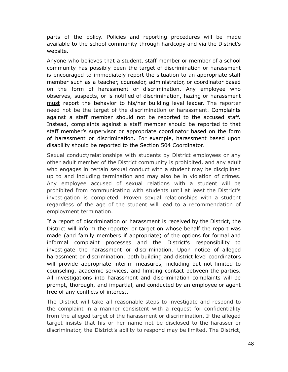parts of the policy. Policies and reporting procedures will be made available to the school community through hardcopy and via the District's website.

Anyone who believes that a student, staff member or member of a school community has possibly been the target of discrimination or harassment is encouraged to immediately report the situation to an appropriate staff member such as a teacher, counselor, administrator, or coordinator based on the form of harassment or discrimination. Any employee who observes, suspects, or is notified of discrimination, hazing or harassment must report the behavior to his/her building level leader. The reporter need not be the target of the discrimination or harassment. Complaints against a staff member should not be reported to the accused staff. Instead, complaints against a staff member should be reported to that staff member's supervisor or appropriate coordinator based on the form of harassment or discrimination. For example, harassment based upon disability should be reported to the Section 504 Coordinator.

Sexual conduct/relationships with students by District employees or any other adult member of the District community is prohibited, and any adult who engages in certain sexual conduct with a student may be disciplined up to and including termination and may also be in violation of crimes. Any employee accused of sexual relations with a student will be prohibited from communicating with students until at least the District's investigation is completed. Proven sexual relationships with a student regardless of the age of the student will lead to a recommendation of employment termination.

If a report of discrimination or harassment is received by the District, the District will inform the reporter or target on whose behalf the report was made (and family members if appropriate) of the options for formal and informal complaint processes and the District's responsibility to investigate the harassment or discrimination. Upon notice of alleged harassment or discrimination, both building and district level coordinators will provide appropriate interim measures, including but not limited to counseling, academic services, and limiting contact between the parties. All investigations into harassment and discrimination complaints will be prompt, thorough, and impartial, and conducted by an employee or agent free of any conflicts of interest.

The District will take all reasonable steps to investigate and respond to the complaint in a manner consistent with a request for confidentiality from the alleged target of the harassment or discrimination. If the alleged target insists that his or her name not be disclosed to the harasser or discriminator, the District's ability to respond may be limited. The District,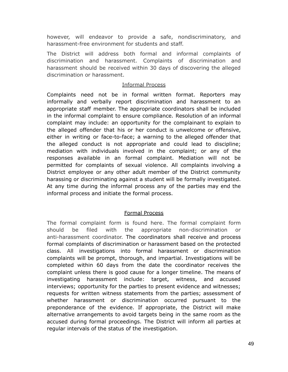however, will endeavor to provide a safe, nondiscriminatory, and harassment-free environment for students and staff.

The District will address both formal and informal complaints of discrimination and harassment. Complaints of discrimination and harassment should be received within 30 days of discovering the alleged discrimination or harassment.

#### Informal Process

Complaints need not be in formal written format. Reporters may informally and verbally report discrimination and harassment to an appropriate staff member. The appropriate coordinators shall be included in the informal complaint to ensure compliance. Resolution of an informal complaint may include: an opportunity for the complainant to explain to the alleged offender that his or her conduct is unwelcome or offensive, either in writing or face-to-face; a warning to the alleged offender that the alleged conduct is not appropriate and could lead to discipline; mediation with individuals involved in the complaint; or any of the responses available in an formal complaint. Mediation will not be permitted for complaints of sexual violence. All complaints involving a District employee or any other adult member of the District community harassing or discriminating against a student will be formally investigated. At any time during the informal process any of the parties may end the informal process and initiate the formal process.

### Formal Process

The formal complaint form is found here. The formal complaint form should be filed with the appropriate non-discrimination or anti-harassment coordinator. The coordinators shall receive and process formal complaints of discrimination or harassment based on the protected class. All investigations into formal harassment or discrimination complaints will be prompt, thorough, and impartial. Investigations will be completed within 60 days from the date the coordinator receives the complaint unless there is good cause for a longer timeline. The means of investigating harassment include: target, witness, and accused interviews; opportunity for the parties to present evidence and witnesses; requests for written witness statements from the parties; assessment of whether harassment or discrimination occurred pursuant to the preponderance of the evidence. If appropriate, the District will make alternative arrangements to avoid targets being in the same room as the accused during formal proceedings. The District will inform all parties at regular intervals of the status of the investigation.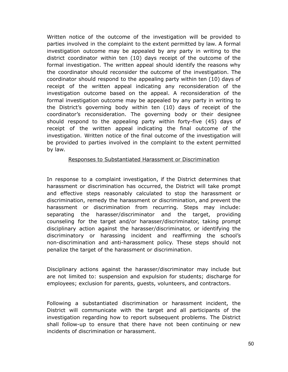Written notice of the outcome of the investigation will be provided to parties involved in the complaint to the extent permitted by law. A formal investigation outcome may be appealed by any party in writing to the district coordinator within ten (10) days receipt of the outcome of the formal investigation. The written appeal should identify the reasons why the coordinator should reconsider the outcome of the investigation. The coordinator should respond to the appealing party within ten (10) days of receipt of the written appeal indicating any reconsideration of the investigation outcome based on the appeal. A reconsideration of the formal investigation outcome may be appealed by any party in writing to the District's governing body within ten (10) days of receipt of the coordinator's reconsideration. The governing body or their designee should respond to the appealing party within forty-five (45) days of receipt of the written appeal indicating the final outcome of the investigation. Written notice of the final outcome of the investigation will be provided to parties involved in the complaint to the extent permitted by law.

#### Responses to Substantiated Harassment or Discrimination

In response to a complaint investigation, if the District determines that harassment or discrimination has occurred, the District will take prompt and effective steps reasonably calculated to stop the harassment or discrimination, remedy the harassment or discrimination, and prevent the harassment or discrimination from recurring. Steps may include: separating the harasser/discriminator and the target, providing counseling for the target and/or harasser/discriminator, taking prompt disciplinary action against the harasser/discriminator, or identifying the discriminatory or harassing incident and reaffirming the school's non-discrimination and anti-harassment policy. These steps should not penalize the target of the harassment or discrimination.

Disciplinary actions against the harasser/discriminator may include but are not limited to: suspension and expulsion for students; discharge for employees; exclusion for parents, guests, volunteers, and contractors.

Following a substantiated discrimination or harassment incident, the District will communicate with the target and all participants of the investigation regarding how to report subsequent problems. The District shall follow-up to ensure that there have not been continuing or new incidents of discrimination or harassment.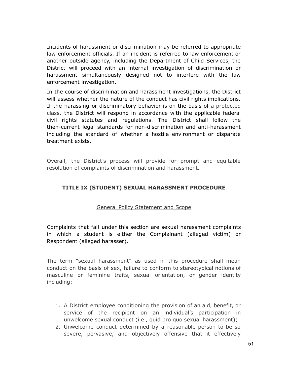Incidents of harassment or discrimination may be referred to appropriate law enforcement officials. If an incident is referred to law enforcement or another outside agency, including the Department of Child Services, the District will proceed with an internal investigation of discrimination or harassment simultaneously designed not to interfere with the law enforcement investigation.

In the course of discrimination and harassment investigations, the District will assess whether the nature of the conduct has civil rights implications. If the harassing or discriminatory behavior is on the basis of a protected class, the District will respond in accordance with the applicable federal civil rights statutes and regulations. The District shall follow the then-current legal standards for non-discrimination and anti-harassment including the standard of whether a hostile environment or disparate treatment exists.

Overall, the District's process will provide for prompt and equitable resolution of complaints of discrimination and harassment.

### **TITLE IX (STUDENT) SEXUAL HARASSMENT PROCEDURE**

#### General Policy Statement and Scope

Complaints that fall under this section are sexual harassment complaints in which a student is either the Complainant (alleged victim) or Respondent (alleged harasser).

The term "sexual harassment" as used in this procedure shall mean conduct on the basis of sex, failure to conform to stereotypical notions of masculine or feminine traits, sexual orientation, or gender identity including:

- 1. A District employee conditioning the provision of an aid, benefit, or service of the recipient on an individual's participation in unwelcome sexual conduct (i.e., quid pro quo sexual harassment);
- 2. Unwelcome conduct determined by a reasonable person to be so severe, pervasive, and objectively offensive that it effectively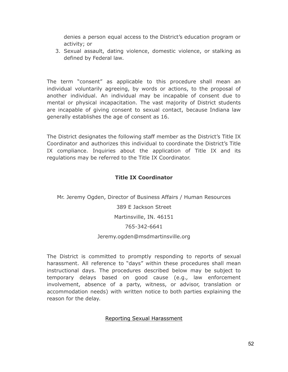denies a person equal access to the District's education program or activity; or

3. Sexual assault, dating violence, domestic violence, or stalking as defined by Federal law.

The term "consent" as applicable to this procedure shall mean an individual voluntarily agreeing, by words or actions, to the proposal of another individual. An individual may be incapable of consent due to mental or physical incapacitation. The vast majority of District students are incapable of giving consent to sexual contact, because Indiana law generally establishes the age of consent as 16.

The District designates the following staff member as the District's Title IX Coordinator and authorizes this individual to coordinate the District's Title IX compliance. Inquiries about the application of Title IX and its regulations may be referred to the Title IX Coordinator.

## **Title IX Coordinator**

Mr. Jeremy Ogden, Director of Business Affairs / Human Resources 389 E Jackson Street Martinsville, IN. 46151 765-342-6641 Jeremy.ogden@msdmartinsville.org

The District is committed to promptly responding to reports of sexual harassment. All reference to "days" within these procedures shall mean instructional days. The procedures described below may be subject to temporary delays based on good cause (e.g., law enforcement involvement, absence of a party, witness, or advisor, translation or accommodation needs) with written notice to both parties explaining the reason for the delay.

#### Reporting Sexual Harassment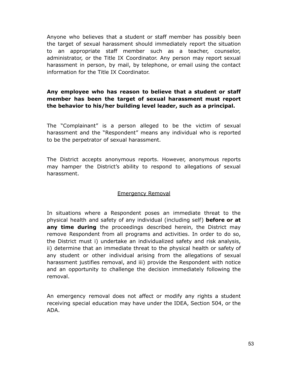Anyone who believes that a student or staff member has possibly been the target of sexual harassment should immediately report the situation to an appropriate staff member such as a teacher, counselor, administrator, or the Title IX Coordinator. Any person may report sexual harassment in person, by mail, by telephone, or email using the contact information for the Title IX Coordinator.

### **Any employee who has reason to believe that a student or staff member has been the target of sexual harassment must report the behavior to his/her building level leader, such as a principal.**

The "Complainant" is a person alleged to be the victim of sexual harassment and the "Respondent" means any individual who is reported to be the perpetrator of sexual harassment.

The District accepts anonymous reports. However, anonymous reports may hamper the District's ability to respond to allegations of sexual harassment.

#### Emergency Removal

In situations where a Respondent poses an immediate threat to the physical health and safety of any individual (including self) **before or at any time during** the proceedings described herein, the District may remove Respondent from all programs and activities. In order to do so, the District must i) undertake an individualized safety and risk analysis, ii) determine that an immediate threat to the physical health or safety of any student or other individual arising from the allegations of sexual harassment justifies removal, and iii) provide the Respondent with notice and an opportunity to challenge the decision immediately following the removal.

An emergency removal does not affect or modify any rights a student receiving special education may have under the IDEA, Section 504, or the ADA.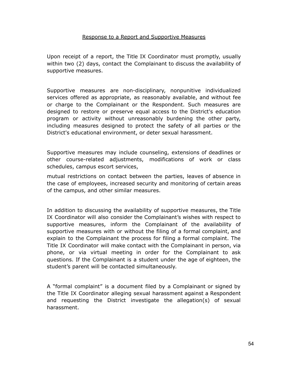#### Response to a Report and Supportive Measures

Upon receipt of a report, the Title IX Coordinator must promptly, usually within two (2) days, contact the Complainant to discuss the availability of supportive measures.

Supportive measures are non-disciplinary, nonpunitive individualized services offered as appropriate, as reasonably available, and without fee or charge to the Complainant or the Respondent. Such measures are designed to restore or preserve equal access to the District's education program or activity without unreasonably burdening the other party, including measures designed to protect the safety of all parties or the District's educational environment, or deter sexual harassment.

Supportive measures may include counseling, extensions of deadlines or other course-related adjustments, modifications of work or class schedules, campus escort services,

mutual restrictions on contact between the parties, leaves of absence in the case of employees, increased security and monitoring of certain areas of the campus, and other similar measures.

In addition to discussing the availability of supportive measures, the Title IX Coordinator will also consider the Complainant's wishes with respect to supportive measures, inform the Complainant of the availability of supportive measures with or without the filing of a formal complaint, and explain to the Complainant the process for filing a formal complaint. The Title IX Coordinator will make contact with the Complainant in person, via phone, or via virtual meeting in order for the Complainant to ask questions. If the Complainant is a student under the age of eighteen, the student's parent will be contacted simultaneously.

A "formal complaint" is a document filed by a Complainant or signed by the Title IX Coordinator alleging sexual harassment against a Respondent and requesting the District investigate the allegation(s) of sexual harassment.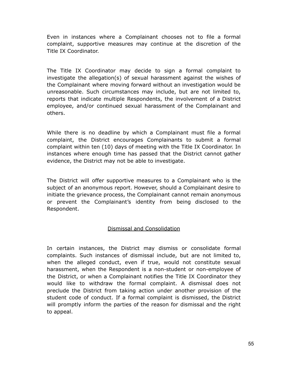Even in instances where a Complainant chooses not to file a formal complaint, supportive measures may continue at the discretion of the Title IX Coordinator.

The Title IX Coordinator may decide to sign a formal complaint to investigate the allegation(s) of sexual harassment against the wishes of the Complainant where moving forward without an investigation would be unreasonable. Such circumstances may include, but are not limited to, reports that indicate multiple Respondents, the involvement of a District employee, and/or continued sexual harassment of the Complainant and others.

While there is no deadline by which a Complainant must file a formal complaint, the District encourages Complainants to submit a formal complaint within ten (10) days of meeting with the Title IX Coordinator. In instances where enough time has passed that the District cannot gather evidence, the District may not be able to investigate.

The District will offer supportive measures to a Complainant who is the subject of an anonymous report. However, should a Complainant desire to initiate the grievance process, the Complainant cannot remain anonymous or prevent the Complainant's identity from being disclosed to the Respondent.

#### Dismissal and Consolidation

In certain instances, the District may dismiss or consolidate formal complaints. Such instances of dismissal include, but are not limited to, when the alleged conduct, even if true, would not constitute sexual harassment, when the Respondent is a non-student or non-employee of the District, or when a Complainant notifies the Title IX Coordinator they would like to withdraw the formal complaint. A dismissal does not preclude the District from taking action under another provision of the student code of conduct. If a formal complaint is dismissed, the District will promptly inform the parties of the reason for dismissal and the right to appeal.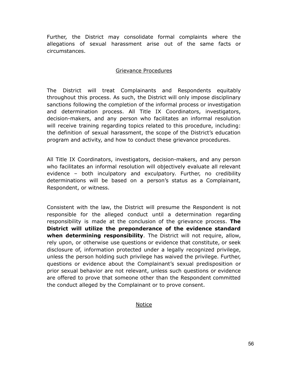Further, the District may consolidate formal complaints where the allegations of sexual harassment arise out of the same facts or circumstances.

#### Grievance Procedures

The District will treat Complainants and Respondents equitably throughout this process. As such, the District will only impose disciplinary sanctions following the completion of the informal process or investigation and determination process. All Title IX Coordinators, investigators, decision-makers, and any person who facilitates an informal resolution will receive training regarding topics related to this procedure, including: the definition of sexual harassment, the scope of the District's education program and activity, and how to conduct these grievance procedures.

All Title IX Coordinators, investigators, decision-makers, and any person who facilitates an informal resolution will objectively evaluate all relevant evidence – both inculpatory and exculpatory. Further, no credibility determinations will be based on a person's status as a Complainant, Respondent, or witness.

Consistent with the law, the District will presume the Respondent is not responsible for the alleged conduct until a determination regarding responsibility is made at the conclusion of the grievance process. **The District will utilize the preponderance of the evidence standard when determining responsibility**. The District will not require, allow, rely upon, or otherwise use questions or evidence that constitute, or seek disclosure of, information protected under a legally recognized privilege, unless the person holding such privilege has waived the privilege. Further, questions or evidence about the Complainant's sexual predisposition or prior sexual behavior are not relevant, unless such questions or evidence are offered to prove that someone other than the Respondent committed the conduct alleged by the Complainant or to prove consent.

Notice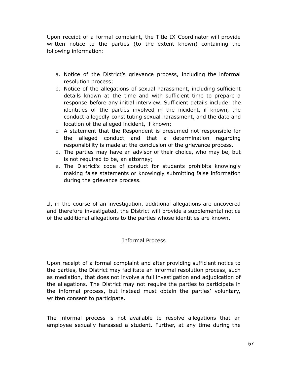Upon receipt of a formal complaint, the Title IX Coordinator will provide written notice to the parties (to the extent known) containing the following information:

- a. Notice of the District's grievance process, including the informal resolution process;
- b. Notice of the allegations of sexual harassment, including sufficient details known at the time and with sufficient time to prepare a response before any initial interview. Sufficient details include: the identities of the parties involved in the incident, if known, the conduct allegedly constituting sexual harassment, and the date and location of the alleged incident, if known;
- c. A statement that the Respondent is presumed not responsible for the alleged conduct and that a determination regarding responsibility is made at the conclusion of the grievance process.
- d. The parties may have an advisor of their choice, who may be, but is not required to be, an attorney;
- e. The District's code of conduct for students prohibits knowingly making false statements or knowingly submitting false information during the grievance process.

If, in the course of an investigation, additional allegations are uncovered and therefore investigated, the District will provide a supplemental notice of the additional allegations to the parties whose identities are known.

### Informal Process

Upon receipt of a formal complaint and after providing sufficient notice to the parties, the District may facilitate an informal resolution process, such as mediation, that does not involve a full investigation and adjudication of the allegations. The District may not require the parties to participate in the informal process, but instead must obtain the parties' voluntary, written consent to participate.

The informal process is not available to resolve allegations that an employee sexually harassed a student. Further, at any time during the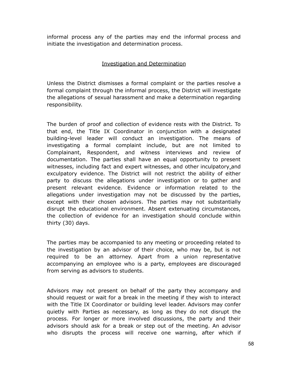informal process any of the parties may end the informal process and initiate the investigation and determination process.

### Investigation and Determination

Unless the District dismisses a formal complaint or the parties resolve a formal complaint through the informal process, the District will investigate the allegations of sexual harassment and make a determination regarding responsibility.

The burden of proof and collection of evidence rests with the District. To that end, the Title IX Coordinator in conjunction with a designated building-level leader will conduct an investigation. The means of investigating a formal complaint include, but are not limited to Complainant, Respondent, and witness interviews and review of documentation. The parties shall have an equal opportunity to present witnesses, including fact and expert witnesses, and other inculpatory and exculpatory evidence. The District will not restrict the ability of either party to discuss the allegations under investigation or to gather and present relevant evidence. Evidence or information related to the allegations under investigation may not be discussed by the parties, except with their chosen advisors. The parties may not substantially disrupt the educational environment. Absent extenuating circumstances, the collection of evidence for an investigation should conclude within thirty (30) days.

The parties may be accompanied to any meeting or proceeding related to the investigation by an advisor of their choice, who may be, but is not required to be an attorney. Apart from a union representative accompanying an employee who is a party, employees are discouraged from serving as advisors to students.

Advisors may not present on behalf of the party they accompany and should request or wait for a break in the meeting if they wish to interact with the Title IX Coordinator or building level leader. Advisors may confer quietly with Parties as necessary, as long as they do not disrupt the process. For longer or more involved discussions, the party and their advisors should ask for a break or step out of the meeting. An advisor who disrupts the process will receive one warning, after which if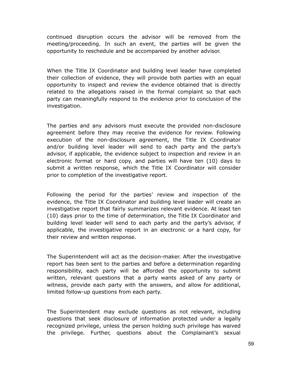continued disruption occurs the advisor will be removed from the meeting/proceeding. In such an event, the parties will be given the opportunity to reschedule and be accompanied by another advisor.

When the Title IX Coordinator and building level leader have completed their collection of evidence, they will provide both parties with an equal opportunity to inspect and review the evidence obtained that is directly related to the allegations raised in the formal complaint so that each party can meaningfully respond to the evidence prior to conclusion of the investigation.

The parties and any advisors must execute the provided non-disclosure agreement before they may receive the evidence for review. Following execution of the non-disclosure agreement, the Title IX Coordinator and/or building level leader will send to each party and the party's advisor, if applicable, the evidence subject to inspection and review in an electronic format or hard copy, and parties will have ten (10) days to submit a written response, which the Title IX Coordinator will consider prior to completion of the investigative report.

Following the period for the parties' review and inspection of the evidence, the Title IX Coordinator and building level leader will create an investigative report that fairly summarizes relevant evidence. At least ten (10) days prior to the time of determination, the Title IX Coordinator and building level leader will send to each party and the party's advisor, if applicable, the investigative report in an electronic or a hard copy, for their review and written response.

The Superintendent will act as the decision-maker. After the investigative report has been sent to the parties and before a determination regarding responsibility, each party will be afforded the opportunity to submit written, relevant questions that a party wants asked of any party or witness, provide each party with the answers, and allow for additional, limited follow-up questions from each party.

The Superintendent may exclude questions as not relevant, including questions that seek disclosure of information protected under a legally recognized privilege, unless the person holding such privilege has waived the privilege. Further, questions about the Complainant's sexual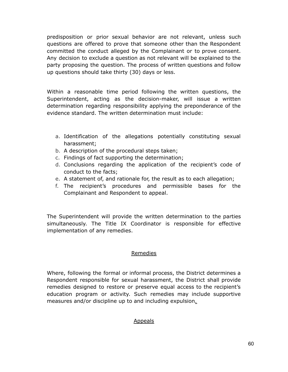predisposition or prior sexual behavior are not relevant, unless such questions are offered to prove that someone other than the Respondent committed the conduct alleged by the Complainant or to prove consent. Any decision to exclude a question as not relevant will be explained to the party proposing the question. The process of written questions and follow up questions should take thirty (30) days or less.

Within a reasonable time period following the written questions, the Superintendent, acting as the decision-maker, will issue a written determination regarding responsibility applying the preponderance of the evidence standard. The written determination must include:

- a. Identification of the allegations potentially constituting sexual harassment;
- b. A description of the procedural steps taken;
- c. Findings of fact supporting the determination;
- d. Conclusions regarding the application of the recipient's code of conduct to the facts;
- e. A statement of, and rationale for, the result as to each allegation;
- f. The recipient's procedures and permissible bases for the Complainant and Respondent to appeal.

The Superintendent will provide the written determination to the parties simultaneously. The Title IX Coordinator is responsible for effective implementation of any remedies.

#### Remedies

Where, following the formal or informal process, the District determines a Respondent responsible for sexual harassment, the District shall provide remedies designed to restore or preserve equal access to the recipient's education program or activity. Such remedies may include supportive measures and/or discipline up to and including expulsion.

#### Appeals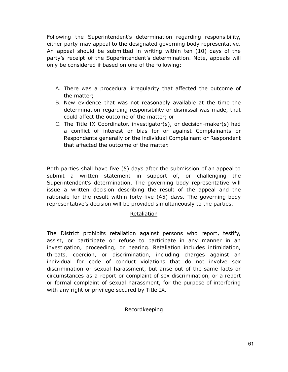Following the Superintendent's determination regarding responsibility, either party may appeal to the designated governing body representative. An appeal should be submitted in writing within ten (10) days of the party's receipt of the Superintendent's determination. Note, appeals will only be considered if based on one of the following:

- A. There was a procedural irregularity that affected the outcome of the matter;
- B. New evidence that was not reasonably available at the time the determination regarding responsibility or dismissal was made, that could affect the outcome of the matter; or
- C. The Title IX Coordinator, investigator(s), or decision-maker(s) had a conflict of interest or bias for or against Complainants or Respondents generally or the individual Complainant or Respondent that affected the outcome of the matter.

Both parties shall have five (5) days after the submission of an appeal to submit a written statement in support of, or challenging the Superintendent's determination. The governing body representative will issue a written decision describing the result of the appeal and the rationale for the result within forty-five (45) days. The governing body representative's decision will be provided simultaneously to the parties.

#### Retaliation

The District prohibits retaliation against persons who report, testify, assist, or participate or refuse to participate in any manner in an investigation, proceeding, or hearing. Retaliation includes intimidation, threats, coercion, or discrimination, including charges against an individual for code of conduct violations that do not involve sex discrimination or sexual harassment, but arise out of the same facts or circumstances as a report or complaint of sex discrimination, or a report or formal complaint of sexual harassment, for the purpose of interfering with any right or privilege secured by Title IX.

#### Recordkeeping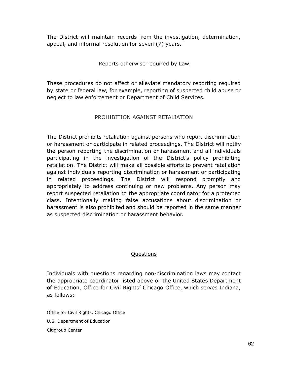The District will maintain records from the investigation, determination, appeal, and informal resolution for seven (7) years.

### Reports otherwise required by Law

These procedures do not affect or alleviate mandatory reporting required by state or federal law, for example, reporting of suspected child abuse or neglect to law enforcement or Department of Child Services.

### PROHIBITION AGAINST RETALIATION

The District prohibits retaliation against persons who report discrimination or harassment or participate in related proceedings. The District will notify the person reporting the discrimination or harassment and all individuals participating in the investigation of the District's policy prohibiting retaliation. The District will make all possible efforts to prevent retaliation against individuals reporting discrimination or harassment or participating in related proceedings. The District will respond promptly and appropriately to address continuing or new problems. Any person may report suspected retaliation to the appropriate coordinator for a protected class. Intentionally making false accusations about discrimination or harassment is also prohibited and should be reported in the same manner as suspected discrimination or harassment behavior.

#### **Ouestions**

Individuals with questions regarding non-discrimination laws may contact the appropriate coordinator listed above or the United States Department of Education, Office for Civil Rights' Chicago Office, which serves Indiana, as follows:

Office for Civil Rights, Chicago Office U.S. Department of Education Citigroup Center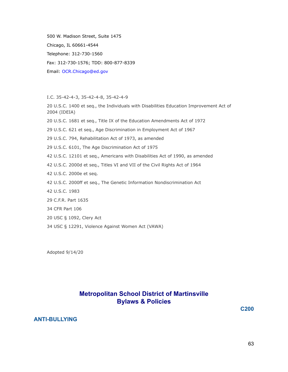500 W. Madison Street, Suite 1475 Chicago, IL 60661-4544 Telephone: 312-730-1560 Fax: 312-730-1576; TDD: 800-877-8339 Email: OCR.Chicago@ed.gov

I.C. 35-42-4-3, 35-42-4-8, 35-42-4-9

20 U.S.C. 1400 et seq., the Individuals with Disabilities Education Improvement Act of 2004 (IDEIA)

- 20 U.S.C. 1681 et seq., Title IX of the Education Amendments Act of 1972
- 29 U.S.C. 621 et seq., Age Discrimination in Employment Act of 1967
- 29 U.S.C. 794, Rehabilitation Act of 1973, as amended
- 29 U.S.C. 6101, The Age Discrimination Act of 1975
- 42 U.S.C. 12101 et seq., Americans with Disabilities Act of 1990, as amended
- 42 U.S.C. 2000d et seq., Titles VI and VII of the Civil Rights Act of 1964
- 42 U.S.C. 2000e et seq.
- 42 U.S.C. 2000ff et seq., The Genetic Information Nondiscrimination Act
- 42 U.S.C. 1983
- 29 C.F.R. Part 1635
- 34 CFR Part 106
- 20 USC § 1092, Clery Act
- 34 USC § 12291, Violence Against Women Act (VAWA)

Adopted 9/14/20

# **Metropolitan School District of Martinsville Bylaws & Policies**

**C200**

#### **ANTI-BULLYING**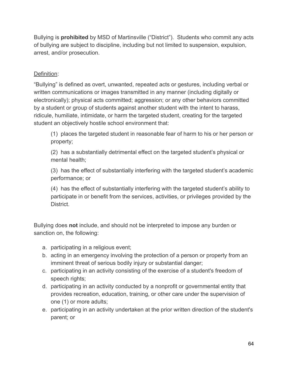Bullying is **prohibited** by MSD of Martinsville ("District"). Students who commit any acts of bullying are subject to discipline, including but not limited to suspension, expulsion, arrest, and/or prosecution.

# Definition:

"Bullying" is defined as overt, unwanted, repeated acts or gestures, including verbal or written communications or images transmitted in any manner (including digitally or electronically); physical acts committed; aggression; or any other behaviors committed by a student or group of students against another student with the intent to harass, ridicule, humiliate, intimidate, or harm the targeted student, creating for the targeted student an objectively hostile school environment that:

(1) places the targeted student in reasonable fear of harm to his or her person or property;

(2) has a substantially detrimental effect on the targeted student's physical or mental health;

(3) has the effect of substantially interfering with the targeted student's academic performance; or

(4) has the effect of substantially interfering with the targeted student's ability to participate in or benefit from the services, activities, or privileges provided by the District.

Bullying does **not** include, and should not be interpreted to impose any burden or sanction on, the following:

- a. participating in a religious event;
- b. acting in an emergency involving the protection of a person or property from an imminent threat of serious bodily injury or substantial danger;
- c. participating in an activity consisting of the exercise of a student's freedom of speech rights;
- d. participating in an activity conducted by a nonprofit or governmental entity that provides recreation, education, training, or other care under the supervision of one (1) or more adults;
- e. participating in an activity undertaken at the prior written direction of the student's parent; or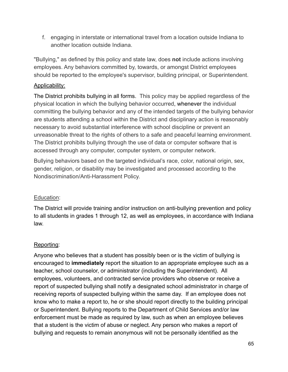f. engaging in interstate or international travel from a location outside Indiana to another location outside Indiana.

"Bullying," as defined by this policy and state law, does **not** include actions involving employees. Any behaviors committed by, towards, or amongst District employees should be reported to the employee's supervisor, building principal, or Superintendent.

# Applicability:

The District prohibits bullying in all forms. This policy may be applied regardless of the physical location in which the bullying behavior occurred, whenever the individual committing the bullying behavior and any of the intended targets of the bullying behavior are students attending a school within the District and disciplinary action is reasonably necessary to avoid substantial interference with school discipline or prevent an unreasonable threat to the rights of others to a safe and peaceful learning environment. The District prohibits bullying through the use of data or computer software that is accessed through any computer, computer system, or computer network.

Bullying behaviors based on the targeted individual's race, color, national origin, sex, gender, religion, or disability may be investigated and processed according to the Nondiscrimination/Anti-Harassment Policy.

# Education:

The District will provide training and/or instruction on anti-bullying prevention and policy to all students in grades 1 through 12, as well as employees, in accordance with Indiana law.

# Reporting:

Anyone who believes that a student has possibly been or is the victim of bullying is encouraged to **immediately** report the situation to an appropriate employee such as a teacher, school counselor, or administrator (including the Superintendent). All employees, volunteers, and contracted service providers who observe or receive a report of suspected bullying shall notify a designated school administrator in charge of receiving reports of suspected bullying within the same day. If an employee does not know who to make a report to, he or she should report directly to the building principal or Superintendent. Bullying reports to the Department of Child Services and/or law enforcement must be made as required by law, such as when an employee believes that a student is the victim of abuse or neglect. Any person who makes a report of bullying and requests to remain anonymous will not be personally identified as the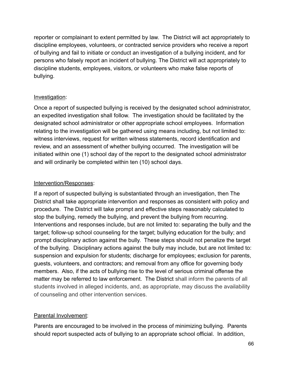reporter or complainant to extent permitted by law. The District will act appropriately to discipline employees, volunteers, or contracted service providers who receive a report of bullying and fail to initiate or conduct an investigation of a bullying incident, and for persons who falsely report an incident of bullying. The District will act appropriately to discipline students, employees, visitors, or volunteers who make false reports of bullying.

## Investigation:

Once a report of suspected bullying is received by the designated school administrator, an expedited investigation shall follow. The investigation should be facilitated by the designated school administrator or other appropriate school employees. Information relating to the investigation will be gathered using means including, but not limited to: witness interviews, request for written witness statements, record identification and review, and an assessment of whether bullying occurred. The investigation will be initiated within one (1) school day of the report to the designated school administrator and will ordinarily be completed within ten (10) school days.

### Intervention/Responses:

If a report of suspected bullying is substantiated through an investigation, then The District shall take appropriate intervention and responses as consistent with policy and procedure. The District will take prompt and effective steps reasonably calculated to stop the bullying, remedy the bullying, and prevent the bullying from recurring. Interventions and responses include, but are not limited to: separating the bully and the target; follow-up school counseling for the target; bullying education for the bully; and prompt disciplinary action against the bully. These steps should not penalize the target of the bullying. Disciplinary actions against the bully may include, but are not limited to: suspension and expulsion for students; discharge for employees; exclusion for parents, guests, volunteers, and contractors; and removal from any office for governing body members. Also, if the acts of bullying rise to the level of serious criminal offense the matter may be referred to law enforcement. The District shall inform the parents of all students involved in alleged incidents, and, as appropriate, may discuss the availability of counseling and other intervention services.

# Parental Involvement:

Parents are encouraged to be involved in the process of minimizing bullying. Parents should report suspected acts of bullying to an appropriate school official. In addition,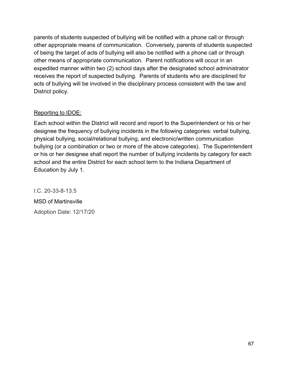parents of students suspected of bullying will be notified with a phone call or through other appropriate means of communication. Conversely, parents of students suspected of being the target of acts of bullying will also be notified with a phone call or through other means of appropriate communication. Parent notifications will occur in an expedited manner within two (2) school days after the designated school administrator receives the report of suspected bullying. Parents of students who are disciplined for acts of bullying will be involved in the disciplinary process consistent with the law and District policy.

# Reporting to IDOE:

Each school within the District will record and report to the Superintendent or his or her designee the frequency of bullying incidents in the following categories: verbal bullying, physical bullying, social/relational bullying, and electronic/written communication bullying (or a combination or two or more of the above categories). The Superintendent or his or her designee shall report the number of bullying incidents by category for each school and the entire District for each school term to the Indiana Department of Education by July 1.

I.C. 20-33-8-13.5 MSD of Martinsville Adoption Date: 12/17/20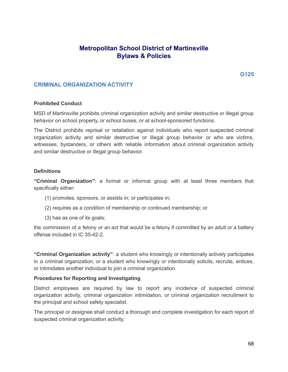# **Metropolitan School District of Martinsville Bylaws & Policies**

#### **CRIMINAL ORGANIZATION ACTIVITY**

#### **Prohibited Conduct**

MSD of Martinsville prohibits criminal organization activity and similar destructive or illegal group behavior on school property, or school buses, or at school-sponsored functions.

The District prohibits reprisal or retaliation against individuals who report suspected criminal organization activity and similar destructive or illegal group behavior or who are victims, witnesses, bystanders, or others with reliable information about criminal organization activity and similar destructive or illegal group behavior.

#### **Definitions**

**"Criminal Organization"**: a formal or informal group with at least three members that specifically either:

- (1) promotes, sponsors, or assists in; or participates in;
- (2) requires as a condition of membership or continued membership; or
- (3) has as one of its goals;

the commission of a felony or an act that would be a felony if committed by an adult or a battery offense included in IC 35-42-2.

**"Criminal Organization activity"**: a student who knowingly or intentionally actively participates in a criminal organization, or a student who knowingly or intentionally solicits, recruits, entices, or intimidates another individual to join a criminal organization.

#### **Procedures for Reporting and Investigating**

District employees are required by law to report any incidence of suspected criminal organization activity, criminal organization intimidation, or criminal organization recruitment to the principal and school safety specialist.

The principal or designee shall conduct a thorough and complete investigation for each report of suspected criminal organization activity.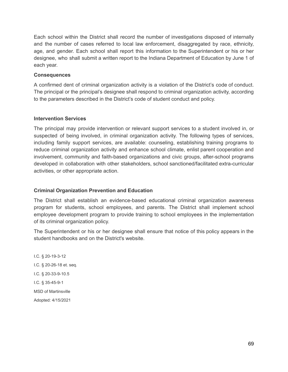Each school within the District shall record the number of investigations disposed of internally and the number of cases referred to local law enforcement, disaggregated by race, ethnicity, age, and gender. Each school shall report this information to the Superintendent or his or her designee, who shall submit a written report to the Indiana Department of Education by June 1 of each year.

#### **Consequences**

A confirmed dent of criminal organization activity is a violation of the District's code of conduct. The principal or the principal's designee shall respond to criminal organization activity, according to the parameters described in the District's code of student conduct and policy.

#### **Intervention Services**

The principal may provide intervention or relevant support services to a student involved in, or suspected of being involved, in criminal organization activity. The following types of services, including family support services, are available: counseling, establishing training programs to reduce criminal organization activity and enhance school climate, enlist parent cooperation and involvement, community and faith-based organizations and civic groups, after-school programs developed in collaboration with other stakeholders, school sanctioned/facilitated extra-curricular activities, or other appropriate action.

#### **Criminal Organization Prevention and Education**

The District shall establish an evidence-based educational criminal organization awareness program for students, school employees, and parents. The District shall implement school employee development program to provide training to school employees in the implementation of its criminal organization policy.

The Superintendent or his or her designee shall ensure that notice of this policy appears in the student handbooks and on the District's website.

I.C. § 20-19-3-12 I.C. § 20-26-18 et. seq. I.C. § 20-33-9-10.5 I.C. § 35-45-9-1 MSD of Martinsville Adopted: 4/15/2021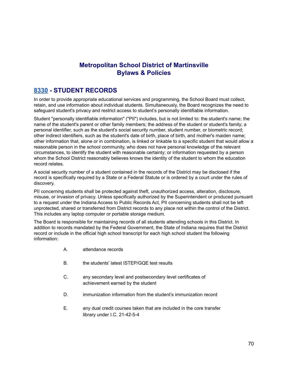# **Metropolitan School District of Martinsville Bylaws & Policies**

# **[8330](http://www.neola.com/martinsville-in/search/ag/ag8330.htm) - STUDENT RECORDS**

In order to provide appropriate educational services and programming, the School Board must collect, retain, and use information about individual students. Simultaneously, the Board recognizes the need to safeguard student's privacy and restrict access to student's personally identifiable information.

Student "personally identifiable information" ("PII") includes, but is not limited to: the student's name; the name of the student's parent or other family members; the address of the student or student's family; a personal identifier, such as the student's social security number, student number, or biometric record; other indirect identifiers, such as the student's date of birth, place of birth, and mother's maiden name; other information that, alone or in combination, is linked or linkable to a specific student that would allow a reasonable person in the school community, who does not have personal knowledge of the relevant circumstances, to identify the student with reasonable certainty; or information requested by a person whom the School District reasonably believes knows the identity of the student to whom the education record relates.

A social security number of a student contained in the records of the District may be disclosed if the record is specifically required by a State or a Federal Statute or is ordered by a court under the rules of discovery.

PII concerning students shall be protected against theft, unauthorized access, alteration, disclosure, misuse, or invasion of privacy. Unless specifically authorized by the Superintendent or produced pursuant to a request under the Indiana Access to Public Records Act, PII concerning students shall not be left unprotected, shared or transferred from District records to any place not within the control of the District. This includes any laptop computer or portable storage medium.

The Board is responsible for maintaining records of all students attending schools in this District. In addition to records mandated by the Federal Government, the State of Indiana requires that the District record or include in the official high school transcript for each high school student the following information:

- A. attendance records
- B. the students' latest ISTEP/GQE test results
- C. any secondary level and postsecondary level certificates of achievement earned by the student
- D. **immunization information from the student's immunization record**
- E. any dual credit courses taken that are included in the core transfer library under I.C. 21-42-5-4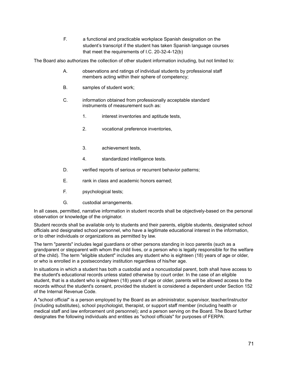F. a functional and practicable workplace Spanish designation on the student's transcript if the student has taken Spanish language courses that meet the requirements of I.C. 20-32-4-12(b)

The Board also authorizes the collection of other student information including, but not limited to:

- A. observations and ratings of individual students by professional staff members acting within their sphere of competency;
- B. samples of student work;
- C. information obtained from professionally acceptable standard instruments of measurement such as:
	- 1. interest inventories and aptitude tests,
	- 2. vocational preference inventories,
	- 3. achievement tests,
	- 4. standardized intelligence tests.
- D. verified reports of serious or recurrent behavior patterns;
- E. rank in class and academic honors earned;
- F. psychological tests;
- G. custodial arrangements.

In all cases, permitted, narrative information in student records shall be objectively-based on the personal observation or knowledge of the originator.

Student records shall be available only to students and their parents, eligible students, designated school officials and designated school personnel, who have a legitimate educational interest in the information, or to other individuals or organizations as permitted by law.

The term "parents" includes legal guardians or other persons standing in loco parentis (such as a grandparent or stepparent with whom the child lives, or a person who is legally responsible for the welfare of the child). The term "eligible student" includes any student who is eighteen (18) years of age or older, or who is enrolled in a postsecondary institution regardless of his/her age.

In situations in which a student has both a custodial and a noncustodial parent, both shall have access to the student's educational records unless stated otherwise by court order. In the case of an eligible student, that is a student who is eighteen (18) years of age or older, parents will be allowed access to the records without the student's consent, provided the student is considered a dependent under Section 152 of the Internal Revenue Code.

A "school official" is a person employed by the Board as an administrator, supervisor, teacher/instructor (including substitutes), school psychologist, therapist, or support staff member (including health or medical staff and law enforcement unit personnel); and a person serving on the Board. The Board further designates the following individuals and entities as "school officials" for purposes of FERPA: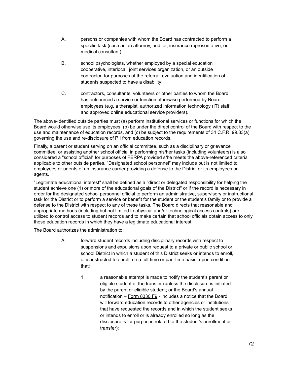- A. persons or companies with whom the Board has contracted to perform a specific task (such as an attorney, auditor, insurance representative, or medical consultant);
- B. school psychologists, whether employed by a special education cooperative, interlocal, joint services organization, or an outside contractor, for purposes of the referral, evaluation and identification of students suspected to have a disability;
- C. contractors, consultants, volunteers or other parties to whom the Board has outsourced a service or function otherwise performed by Board employees (e.g. a therapist, authorized information technology (IT) staff, and approved online educational service providers).

The above-identified outside parties must (a) perform institutional services or functions for which the Board would otherwise use its employees, (b) be under the direct control of the Board with respect to the use and maintenance of education records, and (c) be subject to the requirements of 34 C.F.R. 99.33(a) governing the use and re-disclosure of PII from education records.

Finally, a parent or student serving on an official committee, such as a disciplinary or grievance committee, or assisting another school official in performing his/her tasks (including volunteers) is also considered a "school official" for purposes of FERPA provided s/he meets the above-referenced criteria applicable to other outside parties. "Designated school personnel" may include but is not limited to employees or agents of an insurance carrier providing a defense to the District or its employees or agents.

"Legitimate educational interest" shall be defined as a "direct or delegated responsibility for helping the student achieve one (1) or more of the educational goals of the District" or if the record is necessary in order for the designated school personnel official to perform an administrative, supervisory or instructional task for the District or to perform a service or benefit for the student or the student's family or to provide a defense to the District with respect to any of these tasks. The Board directs that reasonable and appropriate methods (including but not limited to physical and/or technological access controls) are utilized to control access to student records and to make certain that school officials obtain access to only those education records in which they have a legitimate educational interest.

The Board authorizes the administration to:

- A. forward student records including disciplinary records with respect to suspensions and expulsions upon request to a private or public school or school District in which a student of this District seeks or intends to enroll, or is instructed to enroll, on a full-time or part-time basis, upon condition that:
	- 1. a reasonable attempt is made to notify the student's parent or eligible student of the transfer (unless the disclosure is initiated by the parent or eligible student; or the Board's annual notification – [Form](http://www.neola.com/martinsville-in/search/forms/fm8330F9.pdf) 8330 F9 - includes a notice that the Board will forward education records to other agencies or institutions that have requested the records and in which the student seeks or intends to enroll or is already enrolled so long as the disclosure is for purposes related to the student's enrollment or transfer);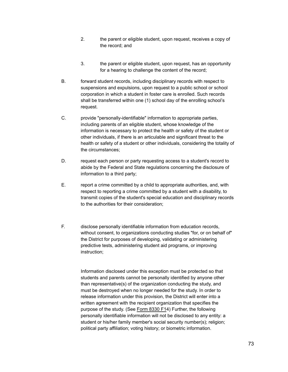- 2. the parent or eligible student, upon request, receives a copy of the record; and
- 3. the parent or eligible student, upon request, has an opportunity for a hearing to challenge the content of the record;
- B. forward student records, including disciplinary records with respect to suspensions and expulsions, upon request to a public school or school corporation in which a student in foster care is enrolled. Such records shall be transferred within one (1) school day of the enrolling school's request.
- C. provide "personally-identifiable" information to appropriate parties, including parents of an eligible student, whose knowledge of the information is necessary to protect the health or safety of the student or other individuals, if there is an articulable and significant threat to the health or safety of a student or other individuals, considering the totality of the circumstances;
- D. request each person or party requesting access to a student's record to abide by the Federal and State regulations concerning the disclosure of information to a third party;
- E. report a crime committed by a child to appropriate authorities, and, with respect to reporting a crime committed by a student with a disability, to transmit copies of the student's special education and disciplinary records to the authorities for their consideration;
- F. disclose personally identifiable information from education records, without consent, to organizations conducting studies "for, or on behalf of" the District for purposes of developing, validating or administering predictive tests, administering student aid programs, or improving instruction;

Information disclosed under this exception must be protected so that students and parents cannot be personally identified by anyone other than representative(s) of the organization conducting the study, and must be destroyed when no longer needed for the study. In order to release information under this provision, the District will enter into a written agreement with the recipient organization that specifies the purpose of the study. (See [Form](http://www.neola.com/martinsville-in/search/forms/fm8330F1.pdf) 8330 F14) Further, the following personally identifiable information will not be disclosed to any entity: a student or his/her family member's social security number(s); religion; political party affiliation; voting history; or biometric information.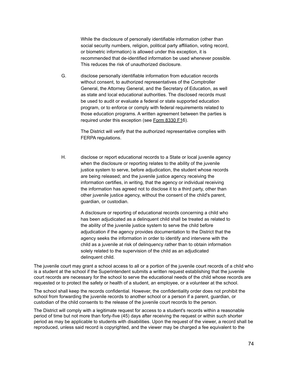While the disclosure of personally identifiable information (other than social security numbers, religion, political party affiliation, voting record, or biometric information) is allowed under this exception, it is recommended that de-identified information be used whenever possible. This reduces the risk of unauthorized disclosure.

G. disclose personally identifiable information from education records without consent, to authorized representatives of the Comptroller General, the Attorney General, and the Secretary of Education, as well as state and local educational authorities. The disclosed records must be used to audit or evaluate a federal or state supported education program, or to enforce or comply with federal requirements related to those education programs. A written agreement between the parties is required under this exception (see [Form](http://www.neola.com/martinsville-in/search/forms/fm8330F1.pdf) 8330 F16).

> The District will verify that the authorized representative complies with FERPA regulations.

H. disclose or report educational records to a State or local juvenile agency when the disclosure or reporting relates to the ability of the juvenile justice system to serve, before adjudication, the student whose records are being released; and the juvenile justice agency receiving the information certifies, in writing, that the agency or individual receiving the information has agreed not to disclose it to a third party, other than other juvenile justice agency, without the consent of the child's parent, guardian, or custodian.

> A disclosure or reporting of educational records concerning a child who has been adjudicated as a delinquent child shall be treated as related to the ability of the juvenile justice system to serve the child before adjudication if the agency provides documentation to the District that the agency seeks the information in order to identify and intervene with the child as a juvenile at risk of delinquency rather than to obtain information solely related to the supervision of the child as an adjudicated delinquent child.

The juvenile court may grant a school access to all or a portion of the juvenile court records of a child who is a student at the school if the Superintendent submits a written request establishing that the juvenile court records are necessary for the school to serve the educational needs of the child whose records are requested or to protect the safety or health of a student, an employee, or a volunteer at the school.

The school shall keep the records confidential. However, the confidentiality order does not prohibit the school from forwarding the juvenile records to another school or a person if a parent, guardian, or custodian of the child consents to the release of the juvenile court records to the person.

The District will comply with a legitimate request for access to a student's records within a reasonable period of time but not more than forty-five (45) days after receiving the request or within such shorter period as may be applicable to students with disabilities. Upon the request of the viewer, a record shall be reproduced, unless said record is copyrighted, and the viewer may be charged a fee equivalent to the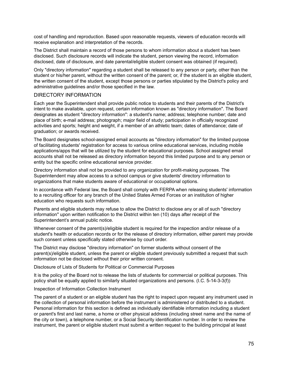cost of handling and reproduction. Based upon reasonable requests, viewers of education records will receive explanation and interpretation of the records.

The District shall maintain a record of those persons to whom information about a student has been disclosed. Such disclosure records will indicate the student, person viewing the record, information disclosed, date of disclosure, and date parental/eligible student consent was obtained (if required).

Only "directory information" regarding a student shall be released to any person or party, other than the student or his/her parent, without the written consent of the parent; or, if the student is an eligible student, the written consent of the student, except those persons or parties stipulated by the District's policy and administrative guidelines and/or those specified in the law.

#### DIRECTORY INFORMATION

Each year the Superintendent shall provide public notice to students and their parents of the District's intent to make available, upon request, certain information known as "directory information". The Board designates as student "directory information": a student's name; address; telephone number; date and place of birth; e-mail address; photograph; major field of study; participation in officially recognized activities and sports; height and weight, if a member of an athletic team; dates of attendance; date of graduation; or awards received.

The Board designates school-assigned email accounts as "directory information" for the limited purpose of facilitating students' registration for access to various online educational services, including mobile applications/apps that will be utilized by the student for educational purposes. School assigned email accounts shall not be released as directory information beyond this limited purpose and to any person or entity but the specific online educational service provider.

Directory information shall not be provided to any organization for profit-making purposes. The Superintendent may allow access to a school campus or give students' directory information to organizations that make students aware of educational or occupational options.

In accordance with Federal law, the Board shall comply with FERPA when releasing students' information to a recruiting officer for any branch of the United States Armed Forces or an institution of higher education who requests such information.

Parents and eligible students may refuse to allow the District to disclose any or all of such "directory information" upon written notification to the District within ten (10) days after receipt of the Superintendent's annual public notice.

Whenever consent of the parent(s)/eligible student is required for the inspection and/or release of a student's health or education records or for the release of directory information, either parent may provide such consent unless specifically stated otherwise by court order.

The District may disclose "directory information" on former students without consent of the parent(s)/eligible student, unless the parent or eligible student previously submitted a request that such information not be disclosed without their prior written consent.

Disclosure of Lists of Students for Political or Commercial Purposes

It is the policy of the Board not to release the lists of students for commercial or political purposes. This policy shall be equally applied to similarly situated organizations and persons. (I.C. 5-14-3-3(f))

Inspection of Information Collection Instrument

The parent of a student or an eligible student has the right to inspect upon request any instrument used in the collection of personal information before the instrument is administered or distributed to a student. Personal information for this section is defined as individually identifiable information including a student or parent's first and last name, a home or other physical address (including street name and the name of the city or town), a telephone number, or a Social Security identification number. In order to review the instrument, the parent or eligible student must submit a written request to the building principal at least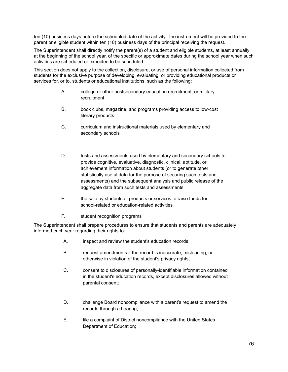ten (10) business days before the scheduled date of the activity. The instrument will be provided to the parent or eligible student within ten (10) business days of the principal receiving the request.

The Superintendent shall directly notify the parent(s) of a student and eligible students, at least annually at the beginning of the school year, of the specific or approximate dates during the school year when such activities are scheduled or expected to be scheduled.

This section does not apply to the collection, disclosure, or use of personal information collected from students for the exclusive purpose of developing, evaluating, or providing educational products or services for, or to, students or educational institutions, such as the following:

- A. college or other postsecondary education recruitment, or military recruitment
- B. book clubs, magazine, and programs providing access to low-cost literary products
- C. curriculum and instructional materials used by elementary and secondary schools
- D. tests and assessments used by elementary and secondary schools to provide cognitive, evaluative, diagnostic, clinical, aptitude, or achievement information about students (or to generate other statistically useful data for the purpose of securing such tests and assessments) and the subsequent analysis and public release of the aggregate data from such tests and assessments
- E. the sale by students of products or services to raise funds for school-related or education-related activities
- F. student recognition programs

The Superintendent shall prepare procedures to ensure that students and parents are adequately informed each year regarding their rights to:

- A. inspect and review the student's education records;
- B. request amendments if the record is inaccurate, misleading, or otherwise in violation of the student's privacy rights;
- C. consent to disclosures of personally-identifiable information contained in the student's education records, except disclosures allowed without parental consent;
- D. challenge Board noncompliance with a parent's request to amend the records through a hearing;
- E. file a complaint of District noncompliance with the United States Department of Education;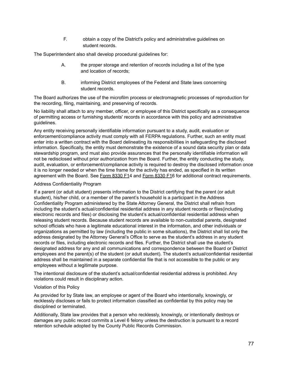F. obtain a copy of the District's policy and administrative guidelines on student records.

The Superintendent also shall develop procedural guidelines for:

- A. the proper storage and retention of records including a list of the type and location of records;
- B. informing District employees of the Federal and State laws concerning student records.

The Board authorizes the use of the microfilm process or electromagnetic processes of reproduction for the recording, filing, maintaining, and preserving of records.

No liability shall attach to any member, officer, or employee of this District specifically as a consequence of permitting access or furnishing students' records in accordance with this policy and administrative guidelines.

Any entity receiving personally identifiable information pursuant to a study, audit, evaluation or enforcement/compliance activity must comply with all FERPA regulations. Further, such an entity must enter into a written contract with the Board delineating its responsibilities in safeguarding the disclosed information. Specifically, the entity must demonstrate the existence of a sound data security plan or data stewardship program, and must also provide assurances that the personally identifiable information will not be redisclosed without prior authorization from the Board. Further, the entity conducting the study, audit, evaluation, or enforcement/compliance activity is required to destroy the disclosed information once it is no longer needed or when the time frame for the activity has ended, as specified in its written agreement with the Board. See [Form](http://www.neola.com/martinsville-in/search/forms/fm8330F1.pdf) 8330 F14 and Form 8330 F16 for additional contract requirements.

#### Address Confidentiality Program

If a parent (or adult student) presents information to the District certifying that the parent (or adult student), his/her child, or a member of the parent's household is a participant in the Address Confidentiality Program administered by the State Attorney General, the District shall refrain from including the student's actual/confidential residential address in any student records or files(including electronic records and files) or disclosing the student's actual/confidential residential address when releasing student records. Because student records are available to non-custodial parents, designated school officials who have a legitimate educational interest in the information, and other individuals or organizations as permitted by law (including the public in some situations), the District shall list only the address designated by the Attorney General's Office to serve as the student's address in any student records or files, including electronic records and files. Further, the District shall use the student's designated address for any and all communications and correspondence between the Board or District employees and the parent(s) of the student (or adult student). The student's actual/confidential residential address shall be maintained in a separate confidential file that is not accessible to the public or any employees without a legitimate purpose.

The intentional disclosure of the student's actual/confidential residential address is prohibited. Any violations could result in disciplinary action.

#### Violation of this Policy

As provided for by State law, an employee or agent of the Board who intentionally, knowingly, or recklessly discloses or fails to protect information classified as confidential by this policy may be disciplined or terminated.

Additionally, State law provides that a person who recklessly, knowingly, or intentionally destroys or damages any public record commits a Level 6 felony unless the destruction is pursuant to a record retention schedule adopted by the County Public Records Commission.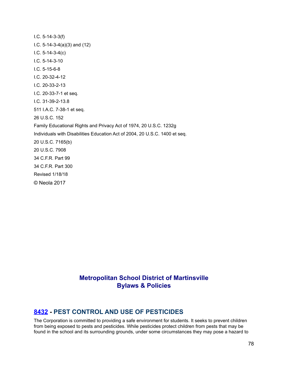I.C. 5-14-3-3(f) I.C. 5-14-3-4(a)(3) and (12) I.C. 5-14-3-4(c) I.C. 5-14-3-10 I.C. 5-15-6-8 I.C. 20-32-4-12 I.C. 20-33-2-13 I.C. 20-33-7-1 et seq. I.C. 31-39-2-13.8 511 I.A.C. 7-38-1 et seq. 26 U.S.C. 152 Family Educational Rights and Privacy Act of 1974, 20 U.S.C. 1232g Individuals with Disabilities Education Act of 2004, 20 U.S.C. 1400 et seq. 20 U.S.C. 7165(b) 20 U.S.C. 7908 34 C.F.R. Part 99 34 C.F.R. Part 300 Revised 1/18/18 © Neola 2017

### **Metropolitan School District of Martinsville Bylaws & Policies**

### **[8432](http://www.neola.com/martinsville-in/search/ag/ag8432.htm) - PEST CONTROL AND USE OF PESTICIDES**

The Corporation is committed to providing a safe environment for students. It seeks to prevent children from being exposed to pests and pesticides. While pesticides protect children from pests that may be found in the school and its surrounding grounds, under some circumstances they may pose a hazard to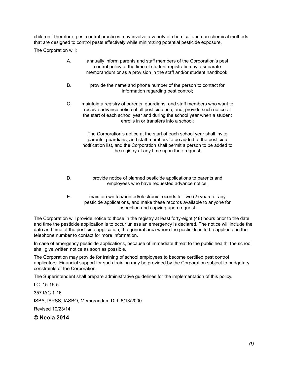children. Therefore, pest control practices may involve a variety of chemical and non-chemical methods that are designed to control pests effectively while minimizing potential pesticide exposure.

The Corporation will:

- A. annually inform parents and staff members of the Corporation's pest control policy at the time of student registration by a separate memorandum or as a provision in the staff and/or student handbook;
- B. provide the name and phone number of the person to contact for information regarding pest control;
- C. maintain a registry of parents, guardians, and staff members who want to receive advance notice of all pesticide use, and, provide such notice at the start of each school year and during the school year when a student enrolls in or transfers into a school;

The Corporation's notice at the start of each school year shall invite parents, guardians, and staff members to be added to the pesticide notification list, and the Corporation shall permit a person to be added to the registry at any time upon their request.

- D. provide notice of planned pesticide applications to parents and employees who have requested advance notice;
- E. maintain written/printed/electronic records for two (2) years of any pesticide applications, and make these records available to anyone for inspection and copying upon request.

The Corporation will provide notice to those in the registry at least forty-eight (48) hours prior to the date and time the pesticide application is to occur unless an emergency is declared. The notice will include the date and time of the pesticide application, the general area where the pesticide is to be applied and the telephone number to contact for more information.

In case of emergency pesticide applications, because of immediate threat to the public health, the school shall give written notice as soon as possible.

The Corporation may provide for training of school employees to become certified pest control applicators. Financial support for such training may be provided by the Corporation subject to budgetary constraints of the Corporation.

The Superintendent shall prepare administrative guidelines for the implementation of this policy.

I.C. 15-16-5

357 IAC 1-16

ISBA, IAPSS, IASBO, Memorandum Dtd. 6/13/2000

Revised 10/23/14

**© Neola 2014**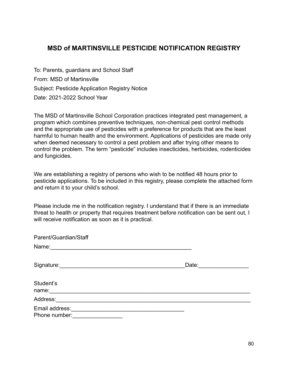# **MSD of MARTINSVILLE PESTICIDE NOTIFICATION REGISTRY**

To: Parents, guardians and School Staff From: MSD of Martinsville Subject: Pesticide Application Registry Notice Date: 2021-2022 School Year

The MSD of Martinsville School Corporation practices integrated pest management, a program which combines preventive techniques, non-chemical pest control methods and the appropriate use of pesticides with a preference for products that are the least harmful to human health and the environment. Applications of pesticides are made only when deemed necessary to control a pest problem and after trying other means to control the problem. The term "pesticide" includes insecticides, herbicides, rodenticides and fungicides.

We are establishing a registry of persons who wish to be notified 48 hours prior to pesticide applications. To be included in this registry, please complete the attached form and return it to your child's school.

Please include me in the notification registry. I understand that if there is an immediate threat to health or property that requires treatment before notification can be sent out, I will receive notification as soon as it is practical.

| Parent/Guardian/Staff                                  |       |
|--------------------------------------------------------|-------|
| Name:<br><u> 1980 - Andrea Andrew Maria (h. 1980).</u> |       |
| Signature: Signature:                                  | Date: |
| Student's<br>name:                                     |       |
| Address:                                               |       |
| Email address:<br>Phone number:                        |       |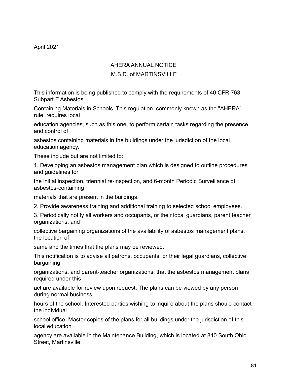# AHERA ANNUAL NOTICE

## M.S.D. of MARTINSVILLE

This information is being published to comply with the requirements of 40 CFR 763 Subpart E Asbestos

Containing Materials in Schools. This regulation, commonly known as the "AHERA" rule, requires local

education agencies, such as this one, to perform certain tasks regarding the presence and control of

asbestos containing materials in the buildings under the jurisdiction of the local education agency.

These include but are not limited to:

1. Developing an asbestos management plan which is designed to outline procedures and guidelines for

the initial inspection, triennial re-inspection, and 6-month Periodic Surveillance of asbestos-containing

materials that are present in the buildings.

2. Provide awareness training and additional training to selected school employees.

3. Periodically notify all workers and occupants, or their local guardians, parent teacher organizations, and

collective bargaining organizations of the availability of asbestos management plans, the location of

same and the times that the plans may be reviewed.

This notification is to advise all patrons, occupants, or their legal guardians, collective bargaining

organizations, and parent-teacher organizations, that the asbestos management plans required under this

act are available for review upon request. The plans can be viewed by any person during normal business

hours of the school. Interested parties wishing to inquire about the plans should contact the individual

school office. Master copies of the plans for all buildings under the jurisdiction of this local education

agency are available in the Maintenance Building, which is located at 840 South Ohio Street, Martinsville,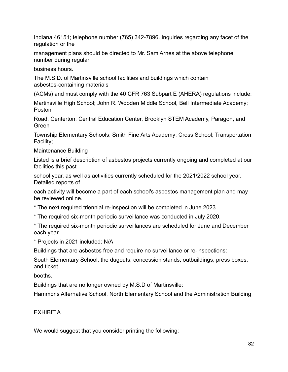Indiana 46151; telephone number (765) 342-7896. Inquiries regarding any facet of the regulation or the

management plans should be directed to Mr. Sam Arnes at the above telephone number during regular

business hours.

The M.S.D. of Martinsville school facilities and buildings which contain asbestos-containing materials

(ACMs) and must comply with the 40 CFR 763 Subpart E (AHERA) regulations include:

Martinsville High School; John R. Wooden Middle School, Bell Intermediate Academy; Poston

Road, Centerton, Central Education Center, Brooklyn STEM Academy, Paragon, and Green

Township Elementary Schools; Smith Fine Arts Academy; Cross School; Transportation Facility;

Maintenance Building

Listed is a brief description of asbestos projects currently ongoing and completed at our facilities this past

school year, as well as activities currently scheduled for the 2021/2022 school year. Detailed reports of

each activity will become a part of each school's asbestos management plan and may be reviewed online.

\* The next required triennial re-inspection will be completed in June 2023

\* The required six-month periodic surveillance was conducted in July 2020.

\* The required six-month periodic surveillances are scheduled for June and December each year.

\* Projects in 2021 included: N/A

Buildings that are asbestos free and require no surveillance or re-inspections:

South Elementary School, the dugouts, concession stands, outbuildings, press boxes, and ticket

booths.

Buildings that are no longer owned by M.S.D of Martinsville:

Hammons Alternative School, North Elementary School and the Administration Building

EXHIBIT A

We would suggest that you consider printing the following: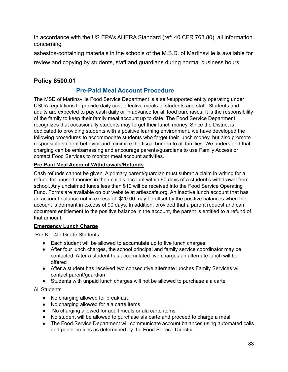In accordance with the US EPA's AHERA Standard (ref: 40 CFR 763.80), all information concerning

asbestos-containing materials in the schools of the M.S.D. of Martinsville is available for review and copying by students, staff and guardians during normal business hours.

## **Policy 8500.01**

## **Pre-Paid Meal Account Procedure**

The MSD of Martinsville Food Service Department is a self-supported entity operating under USDA regulations to provide daily cost-effective meals to students and staff. Students and adults are expected to pay cash daily or in advance for all food purchases. It is the responsibility of the family to keep their family meal account up to date. The Food Service Department recognizes that occasionally students may forget their lunch money. Since the District is dedicated to providing students with a positive learning environment, we have developed the following procedures to accommodate students who forget their lunch money, but also promote responsible student behavior and minimize the fiscal burden to all families. We understand that charging can be embarrassing and encourage parents/guardians to use Family Access or contact Food Services to monitor meal account activities.

#### **Pre-Paid Meal Account Withdrawals/Refunds**

Cash refunds cannot be given. A primary parent/guardian must submit a claim in writing for a refund for unused monies in their child's account within 90 days of a student's withdrawal from school. Any unclaimed funds less than \$10 will be received into the Food Service Operating Fund. Forms are available on our website at artiescafe.org. An inactive lunch account that has an account balance not in excess of -\$20.00 may be offset by the positive balances when the account is dormant in excess of 90 days. In addition, provided that a parent request and can document entitlement to the positive balance in the account, the parent is entitled to a refund of that amount.

#### **Emergency Lunch Charge**

Pre-K – 4th Grade Students:

- Each student will be allowed to accumulate up to five lunch charges
- After four lunch charges, the school principal and family service coordinator may be contacted After a student has accumulated five charges an alternate lunch will be offered
- After a student has received two consecutive alternate lunches Family Services will contact parent/guardian
- Students with unpaid lunch charges will not be allowed to purchase ala carte

All Students:

- No charging allowed for breakfast
- No charging allowed for ala carte items
- No charging allowed for adult meals or ala carte items
- No student will be allowed to purchase ala carte and proceed to charge a meal
- The Food Service Department will communicate account balances using automated calls and paper notices as determined by the Food Service Director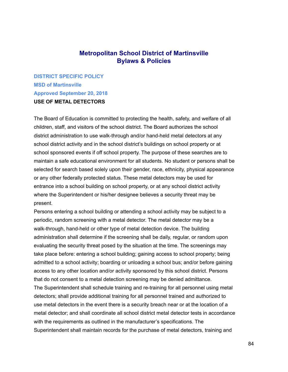### **Metropolitan School District of Martinsville Bylaws & Policies**

**DISTRICT SPECIFIC POLICY MSD of Martinsville Approved September 20, 2018 USE OF METAL DETECTORS**

The Board of Education is committed to protecting the health, safety, and welfare of all children, staff, and visitors of the school district. The Board authorizes the school district administration to use walk-through and/or hand-held metal detectors at any school district activity and in the school district's buildings on school property or at school sponsored events if off school property. The purpose of these searches are to maintain a safe educational environment for all students. No student or persons shall be selected for search based solely upon their gender, race, ethnicity, physical appearance or any other federally protected status. These metal detectors may be used for entrance into a school building on school property, or at any school district activity where the Superintendent or his/her designee believes a security threat may be present.

Persons entering a school building or attending a school activity may be subject to a periodic, random screening with a metal detector. The metal detector may be a walk-through, hand-held or other type of metal detection device. The building administration shall determine if the screening shall be daily, regular, or random upon evaluating the security threat posed by the situation at the time. The screenings may take place before: entering a school building; gaining access to school property; being admitted to a school activity; boarding or unloading a school bus; and/or before gaining access to any other location and/or activity sponsored by this school district. Persons that do not consent to a metal detection screening may be denied admittance. The Superintendent shall schedule training and re-training for all personnel using metal detectors; shall provide additional training for all personnel trained and authorized to use metal detectors in the event there is a security breach near or at the location of a

metal detector; and shall coordinate all school district metal detector tests in accordance with the requirements as outlined in the manufacturer's specifications. The Superintendent shall maintain records for the purchase of metal detectors, training and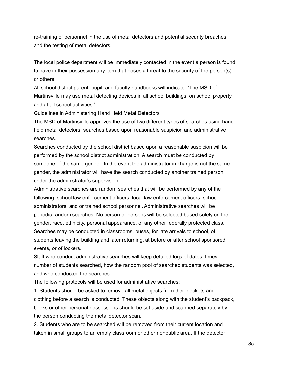re-training of personnel in the use of metal detectors and potential security breaches, and the testing of metal detectors.

The local police department will be immediately contacted in the event a person is found to have in their possession any item that poses a threat to the security of the person(s) or others.

All school district parent, pupil, and faculty handbooks will indicate: "The MSD of Martinsville may use metal detecting devices in all school buildings, on school property, and at all school activities."

Guidelines in Administering Hand Held Metal Detectors

The MSD of Martinsville approves the use of two different types of searches using hand held metal detectors: searches based upon reasonable suspicion and administrative searches.

Searches conducted by the school district based upon a reasonable suspicion will be performed by the school district administration. A search must be conducted by someone of the same gender. In the event the administrator in charge is not the same gender, the administrator will have the search conducted by another trained person under the administrator's supervision.

Administrative searches are random searches that will be performed by any of the following: school law enforcement officers, local law enforcement officers, school administrators, and or trained school personnel. Administrative searches will be periodic random searches. No person or persons will be selected based solely on their gender, race, ethnicity, personal appearance, or any other federally protected class. Searches may be conducted in classrooms, buses, for late arrivals to school, of students leaving the building and later returning, at before or after school sponsored events, or of lockers.

Staff who conduct administrative searches will keep detailed logs of dates, times, number of students searched, how the random pool of searched students was selected, and who conducted the searches.

The following protocols will be used for administrative searches:

1. Students should be asked to remove all metal objects from their pockets and clothing before a search is conducted. These objects along with the student's backpack, books or other personal possessions should be set aside and scanned separately by the person conducting the metal detector scan.

2. Students who are to be searched will be removed from their current location and taken in small groups to an empty classroom or other nonpublic area. If the detector